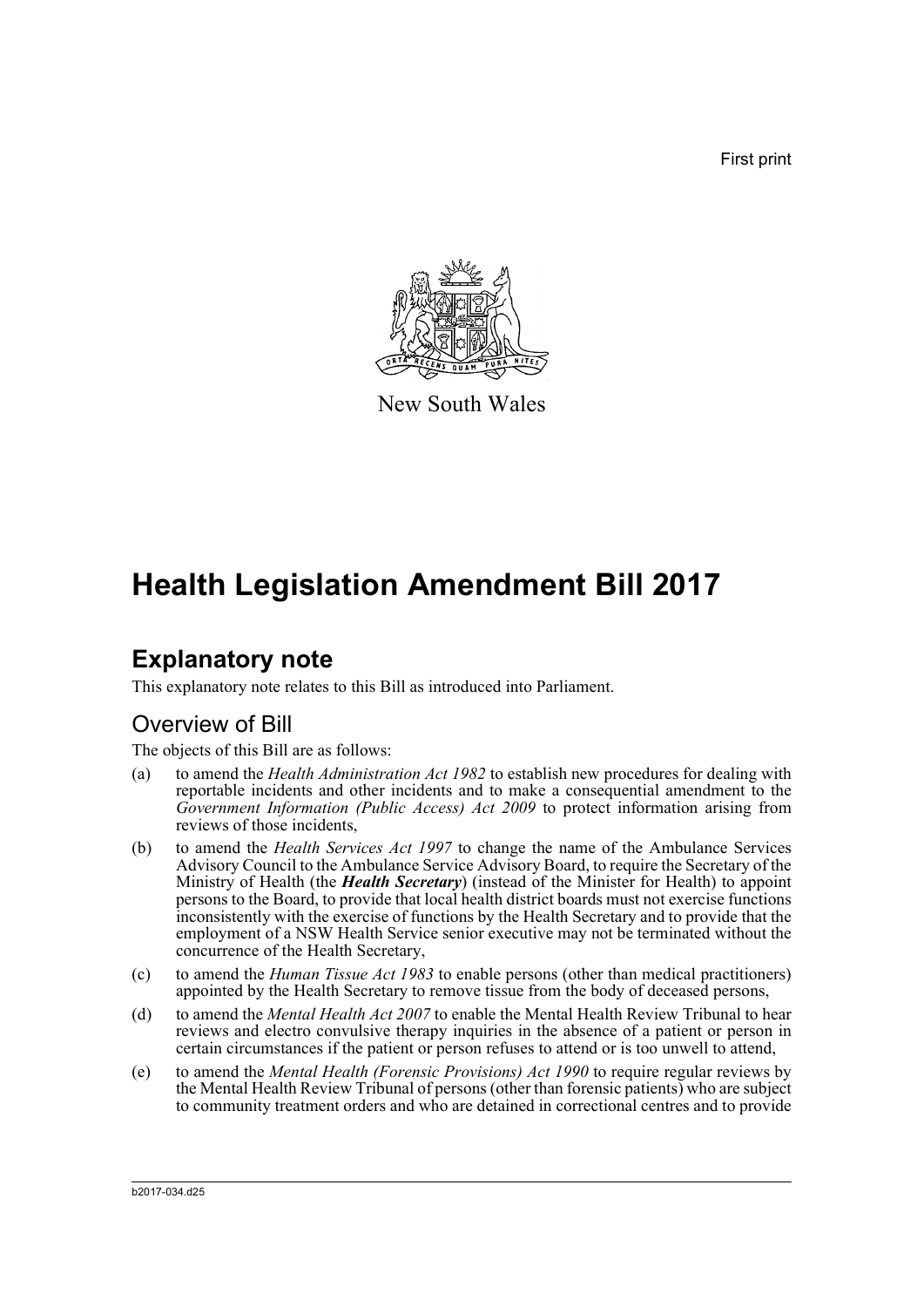First print



New South Wales

# **Health Legislation Amendment Bill 2017**

# **Explanatory note**

This explanatory note relates to this Bill as introduced into Parliament.

# Overview of Bill

The objects of this Bill are as follows:

- (a) to amend the *Health Administration Act 1982* to establish new procedures for dealing with reportable incidents and other incidents and to make a consequential amendment to the *Government Information (Public Access) Act 2009* to protect information arising from reviews of those incidents,
- (b) to amend the *Health Services Act 1997* to change the name of the Ambulance Services Advisory Council to the Ambulance Service Advisory Board, to require the Secretary of the Ministry of Health (the *Health Secretary*) (instead of the Minister for Health) to appoint persons to the Board, to provide that local health district boards must not exercise functions inconsistently with the exercise of functions by the Health Secretary and to provide that the employment of a NSW Health Service senior executive may not be terminated without the concurrence of the Health Secretary,
- (c) to amend the *Human Tissue Act 1983* to enable persons (other than medical practitioners) appointed by the Health Secretary to remove tissue from the body of deceased persons,
- (d) to amend the *Mental Health Act 2007* to enable the Mental Health Review Tribunal to hear reviews and electro convulsive therapy inquiries in the absence of a patient or person in certain circumstances if the patient or person refuses to attend or is too unwell to attend,
- (e) to amend the *Mental Health (Forensic Provisions) Act 1990* to require regular reviews by the Mental Health Review Tribunal of persons (other than forensic patients) who are subject to community treatment orders and who are detained in correctional centres and to provide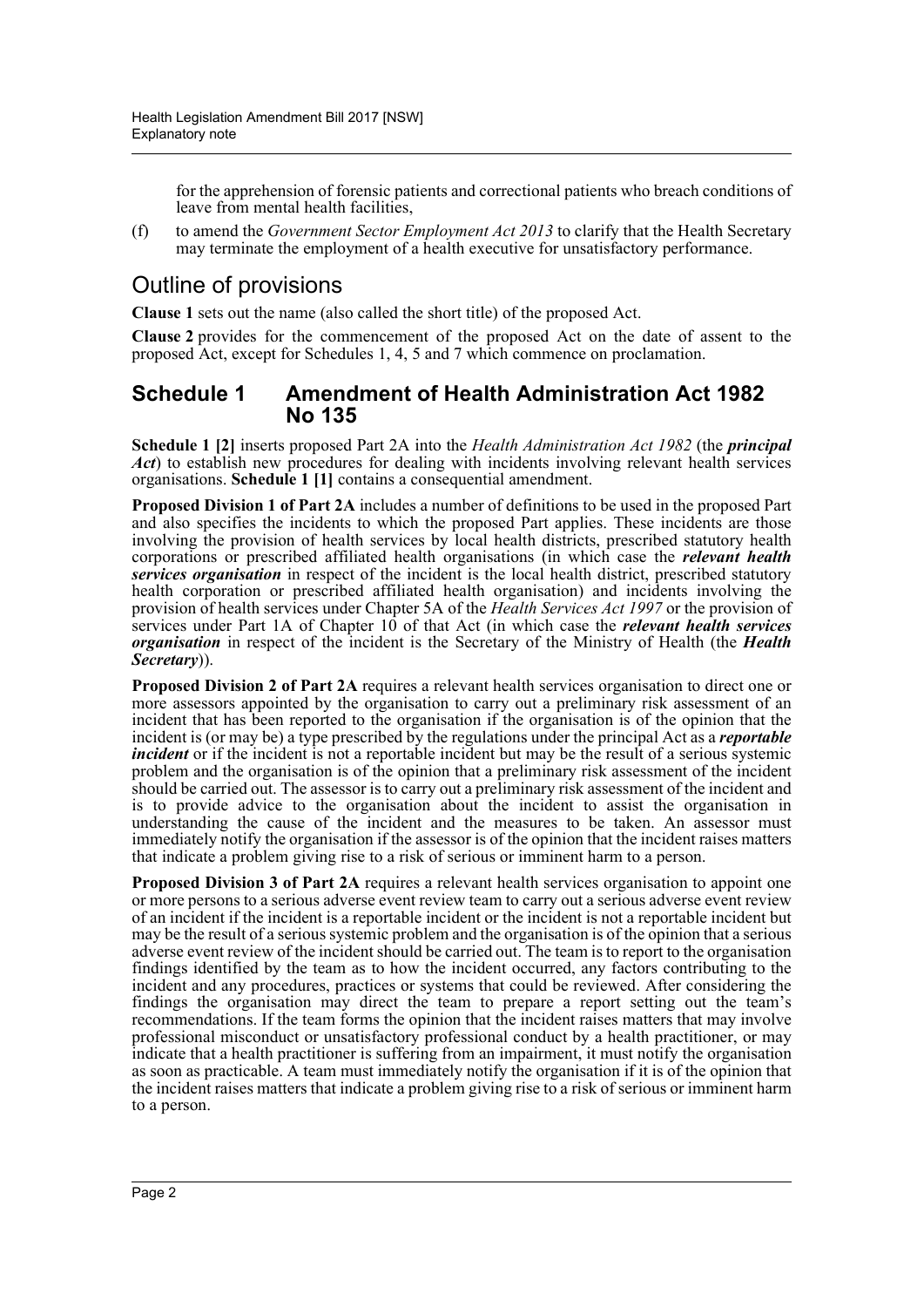for the apprehension of forensic patients and correctional patients who breach conditions of leave from mental health facilities,

(f) to amend the *Government Sector Employment Act 2013* to clarify that the Health Secretary may terminate the employment of a health executive for unsatisfactory performance.

# Outline of provisions

**Clause 1** sets out the name (also called the short title) of the proposed Act.

**Clause 2** provides for the commencement of the proposed Act on the date of assent to the proposed Act, except for Schedules 1, 4, 5 and 7 which commence on proclamation.

# **Schedule 1 Amendment of Health Administration Act 1982 No 135**

**Schedule 1 [2]** inserts proposed Part 2A into the *Health Administration Act 1982* (the *principal Act*) to establish new procedures for dealing with incidents involving relevant health services organisations. **Schedule 1 [1]** contains a consequential amendment.

**Proposed Division 1 of Part 2A** includes a number of definitions to be used in the proposed Part and also specifies the incidents to which the proposed Part applies. These incidents are those involving the provision of health services by local health districts, prescribed statutory health corporations or prescribed affiliated health organisations (in which case the *relevant health services organisation* in respect of the incident is the local health district, prescribed statutory health corporation or prescribed affiliated health organisation) and incidents involving the provision of health services under Chapter 5A of the *Health Services Act 1997* or the provision of services under Part 1A of Chapter 10 of that Act (in which case the *relevant health services organisation* in respect of the incident is the Secretary of the Ministry of Health (the *Health Secretary*)).

**Proposed Division 2 of Part 2A** requires a relevant health services organisation to direct one or more assessors appointed by the organisation to carry out a preliminary risk assessment of an incident that has been reported to the organisation if the organisation is of the opinion that the incident is (or may be) a type prescribed by the regulations under the principal Act as a *reportable incident* or if the incident is not a reportable incident but may be the result of a serious systemic problem and the organisation is of the opinion that a preliminary risk assessment of the incident should be carried out. The assessor is to carry out a preliminary risk assessment of the incident and is to provide advice to the organisation about the incident to assist the organisation in understanding the cause of the incident and the measures to be taken. An assessor must immediately notify the organisation if the assessor is of the opinion that the incident raises matters that indicate a problem giving rise to a risk of serious or imminent harm to a person.

**Proposed Division 3 of Part 2A** requires a relevant health services organisation to appoint one or more persons to a serious adverse event review team to carry out a serious adverse event review of an incident if the incident is a reportable incident or the incident is not a reportable incident but may be the result of a serious systemic problem and the organisation is of the opinion that a serious adverse event review of the incident should be carried out. The team is to report to the organisation findings identified by the team as to how the incident occurred, any factors contributing to the incident and any procedures, practices or systems that could be reviewed. After considering the findings the organisation may direct the team to prepare a report setting out the team's recommendations. If the team forms the opinion that the incident raises matters that may involve professional misconduct or unsatisfactory professional conduct by a health practitioner, or may indicate that a health practitioner is suffering from an impairment, it must notify the organisation as soon as practicable. A team must immediately notify the organisation if it is of the opinion that the incident raises matters that indicate a problem giving rise to a risk of serious or imminent harm to a person.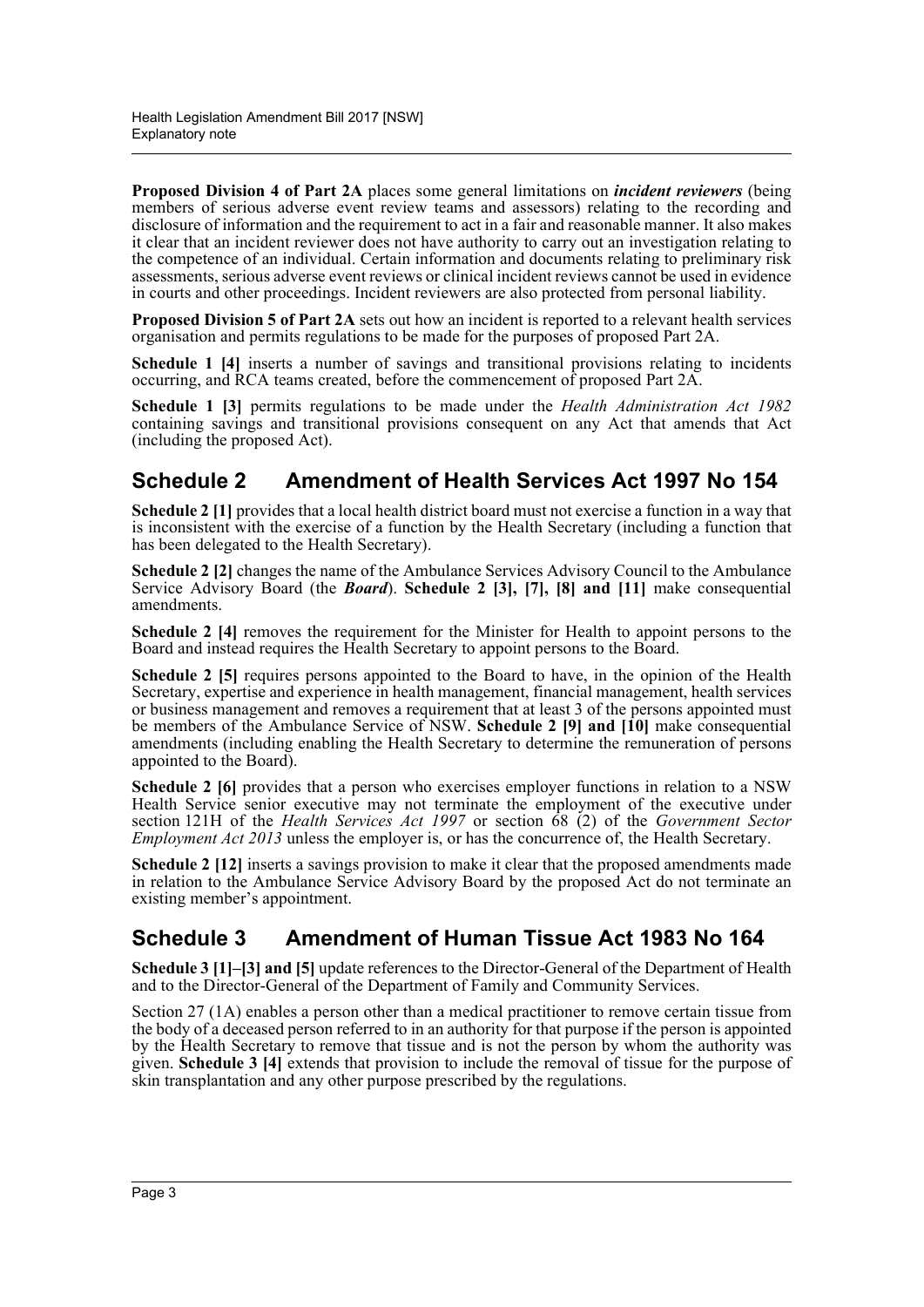**Proposed Division 4 of Part 2A** places some general limitations on *incident reviewers* (being members of serious adverse event review teams and assessors) relating to the recording and disclosure of information and the requirement to act in a fair and reasonable manner. It also makes it clear that an incident reviewer does not have authority to carry out an investigation relating to the competence of an individual. Certain information and documents relating to preliminary risk assessments, serious adverse event reviews or clinical incident reviews cannot be used in evidence in courts and other proceedings. Incident reviewers are also protected from personal liability.

**Proposed Division 5 of Part 2A** sets out how an incident is reported to a relevant health services organisation and permits regulations to be made for the purposes of proposed Part 2A.

**Schedule 1 [4]** inserts a number of savings and transitional provisions relating to incidents occurring, and RCA teams created, before the commencement of proposed Part 2A.

**Schedule 1 [3]** permits regulations to be made under the *Health Administration Act 1982* containing savings and transitional provisions consequent on any Act that amends that Act (including the proposed Act).

# **Schedule 2 Amendment of Health Services Act 1997 No 154**

**Schedule 2 [1]** provides that a local health district board must not exercise a function in a way that is inconsistent with the exercise of a function by the Health Secretary (including a function that has been delegated to the Health Secretary).

**Schedule 2 [2]** changes the name of the Ambulance Services Advisory Council to the Ambulance Service Advisory Board (the *Board*). **Schedule 2 [3], [7], [8] and [11]** make consequential amendments.

**Schedule 2 [4]** removes the requirement for the Minister for Health to appoint persons to the Board and instead requires the Health Secretary to appoint persons to the Board.

**Schedule 2 [5]** requires persons appointed to the Board to have, in the opinion of the Health Secretary, expertise and experience in health management, financial management, health services or business management and removes a requirement that at least 3 of the persons appointed must be members of the Ambulance Service of NSW. **Schedule 2 [9] and [10]** make consequential amendments (including enabling the Health Secretary to determine the remuneration of persons appointed to the Board).

**Schedule 2 [6]** provides that a person who exercises employer functions in relation to a NSW Health Service senior executive may not terminate the employment of the executive under section 121H of the *Health Services Act 1997* or section 68 (2) of the *Government Sector Employment Act 2013* unless the employer is, or has the concurrence of, the Health Secretary.

**Schedule 2 [12]** inserts a savings provision to make it clear that the proposed amendments made in relation to the Ambulance Service Advisory Board by the proposed Act do not terminate an existing member's appointment.

# **Schedule 3 Amendment of Human Tissue Act 1983 No 164**

**Schedule 3 [1]–[3] and [5]** update references to the Director-General of the Department of Health and to the Director-General of the Department of Family and Community Services.

Section 27 (1A) enables a person other than a medical practitioner to remove certain tissue from the body of a deceased person referred to in an authority for that purpose if the person is appointed by the Health Secretary to remove that tissue and is not the person by whom the authority was given. **Schedule 3 [4]** extends that provision to include the removal of tissue for the purpose of skin transplantation and any other purpose prescribed by the regulations.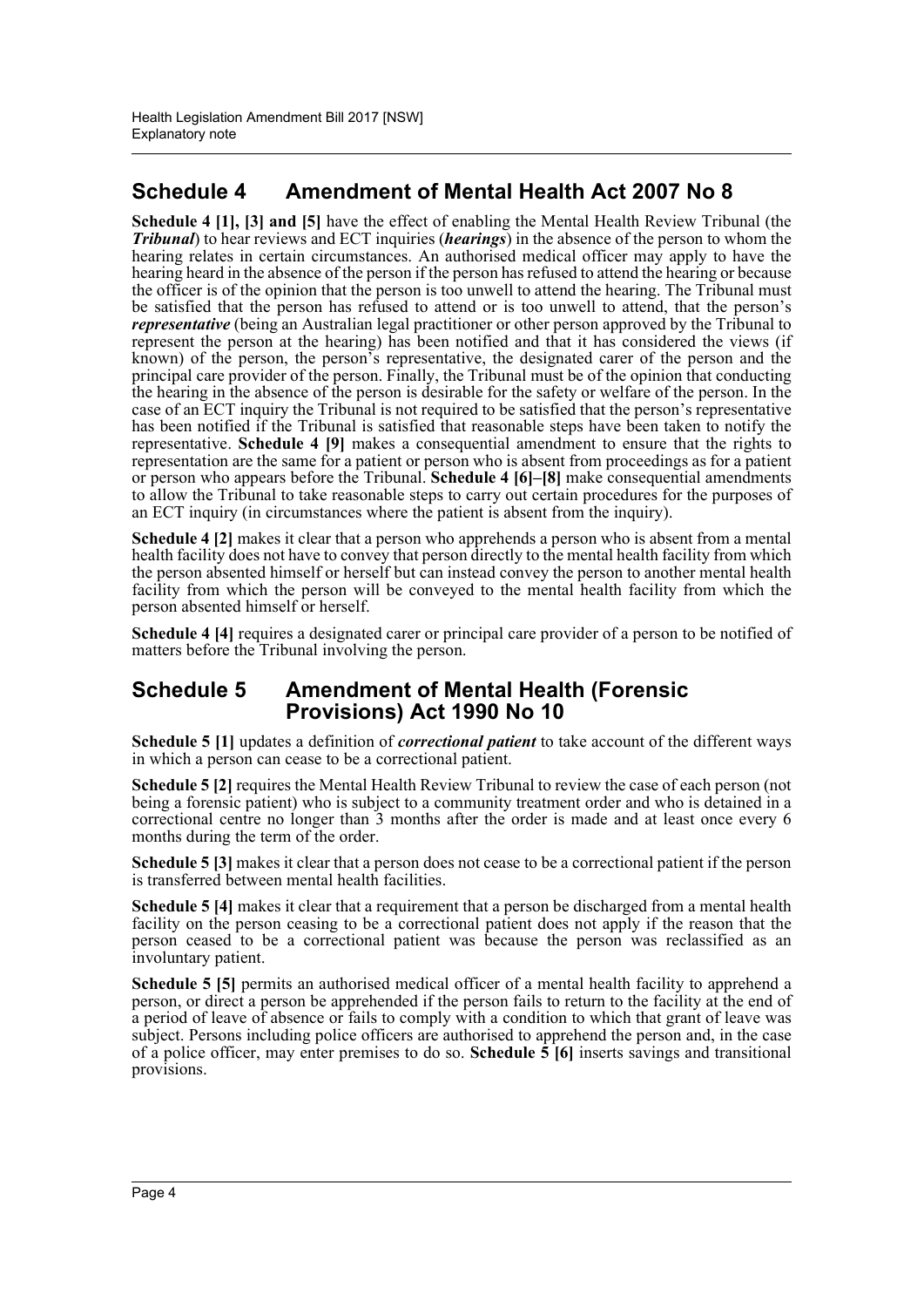# **Schedule 4 Amendment of Mental Health Act 2007 No 8**

**Schedule 4 [1], [3] and [5]** have the effect of enabling the Mental Health Review Tribunal (the *Tribunal*) to hear reviews and ECT inquiries (*hearings*) in the absence of the person to whom the hearing relates in certain circumstances. An authorised medical officer may apply to have the hearing heard in the absence of the person if the person has refused to attend the hearing or because the officer is of the opinion that the person is too unwell to attend the hearing. The Tribunal must be satisfied that the person has refused to attend or is too unwell to attend, that the person's *representative* (being an Australian legal practitioner or other person approved by the Tribunal to represent the person at the hearing) has been notified and that it has considered the views (if known) of the person, the person's representative, the designated carer of the person and the principal care provider of the person. Finally, the Tribunal must be of the opinion that conducting the hearing in the absence of the person is desirable for the safety or welfare of the person. In the case of an ECT inquiry the Tribunal is not required to be satisfied that the person's representative has been notified if the Tribunal is satisfied that reasonable steps have been taken to notify the representative. **Schedule 4 [9]** makes a consequential amendment to ensure that the rights to representation are the same for a patient or person who is absent from proceedings as for a patient or person who appears before the Tribunal. **Schedule 4 [6]–[8]** make consequential amendments to allow the Tribunal to take reasonable steps to carry out certain procedures for the purposes of an ECT inquiry (in circumstances where the patient is absent from the inquiry).

**Schedule 4 [2]** makes it clear that a person who apprehends a person who is absent from a mental health facility does not have to convey that person directly to the mental health facility from which the person absented himself or herself but can instead convey the person to another mental health facility from which the person will be conveyed to the mental health facility from which the person absented himself or herself.

**Schedule 4 [4]** requires a designated carer or principal care provider of a person to be notified of matters before the Tribunal involving the person.

# **Schedule 5 Amendment of Mental Health (Forensic Provisions) Act 1990 No 10**

**Schedule 5 [1]** updates a definition of *correctional patient* to take account of the different ways in which a person can cease to be a correctional patient.

**Schedule 5 [2]** requires the Mental Health Review Tribunal to review the case of each person (not being a forensic patient) who is subject to a community treatment order and who is detained in a correctional centre no longer than 3 months after the order is made and at least once every 6 months during the term of the order.

**Schedule 5 [3]** makes it clear that a person does not cease to be a correctional patient if the person is transferred between mental health facilities.

**Schedule 5 [4]** makes it clear that a requirement that a person be discharged from a mental health facility on the person ceasing to be a correctional patient does not apply if the reason that the person ceased to be a correctional patient was because the person was reclassified as an involuntary patient.

**Schedule 5 [5]** permits an authorised medical officer of a mental health facility to apprehend a person, or direct a person be apprehended if the person fails to return to the facility at the end of a period of leave of absence or fails to comply with a condition to which that grant of leave was subject. Persons including police officers are authorised to apprehend the person and, in the case of a police officer, may enter premises to do so. **Schedule 5 [6]** inserts savings and transitional provisions.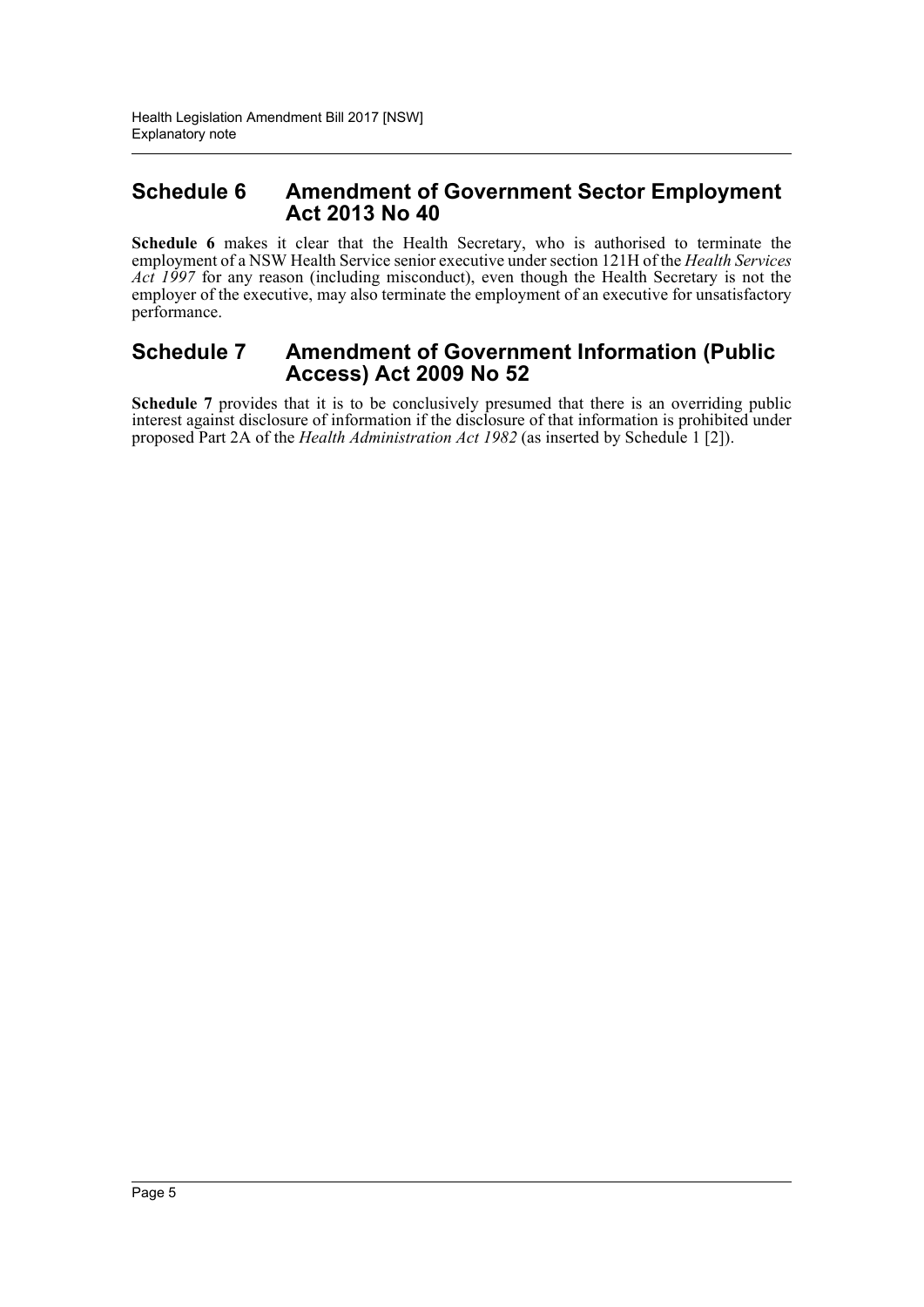# **Schedule 6 Amendment of Government Sector Employment Act 2013 No 40**

**Schedule 6** makes it clear that the Health Secretary, who is authorised to terminate the employment of a NSW Health Service senior executive under section 121H of the *Health Services Act 1997* for any reason (including misconduct), even though the Health Secretary is not the employer of the executive, may also terminate the employment of an executive for unsatisfactory performance.

# **Schedule 7 Amendment of Government Information (Public Access) Act 2009 No 52**

**Schedule 7** provides that it is to be conclusively presumed that there is an overriding public interest against disclosure of information if the disclosure of that information is prohibited under proposed Part 2A of the *Health Administration Act 1982* (as inserted by Schedule 1 [2]).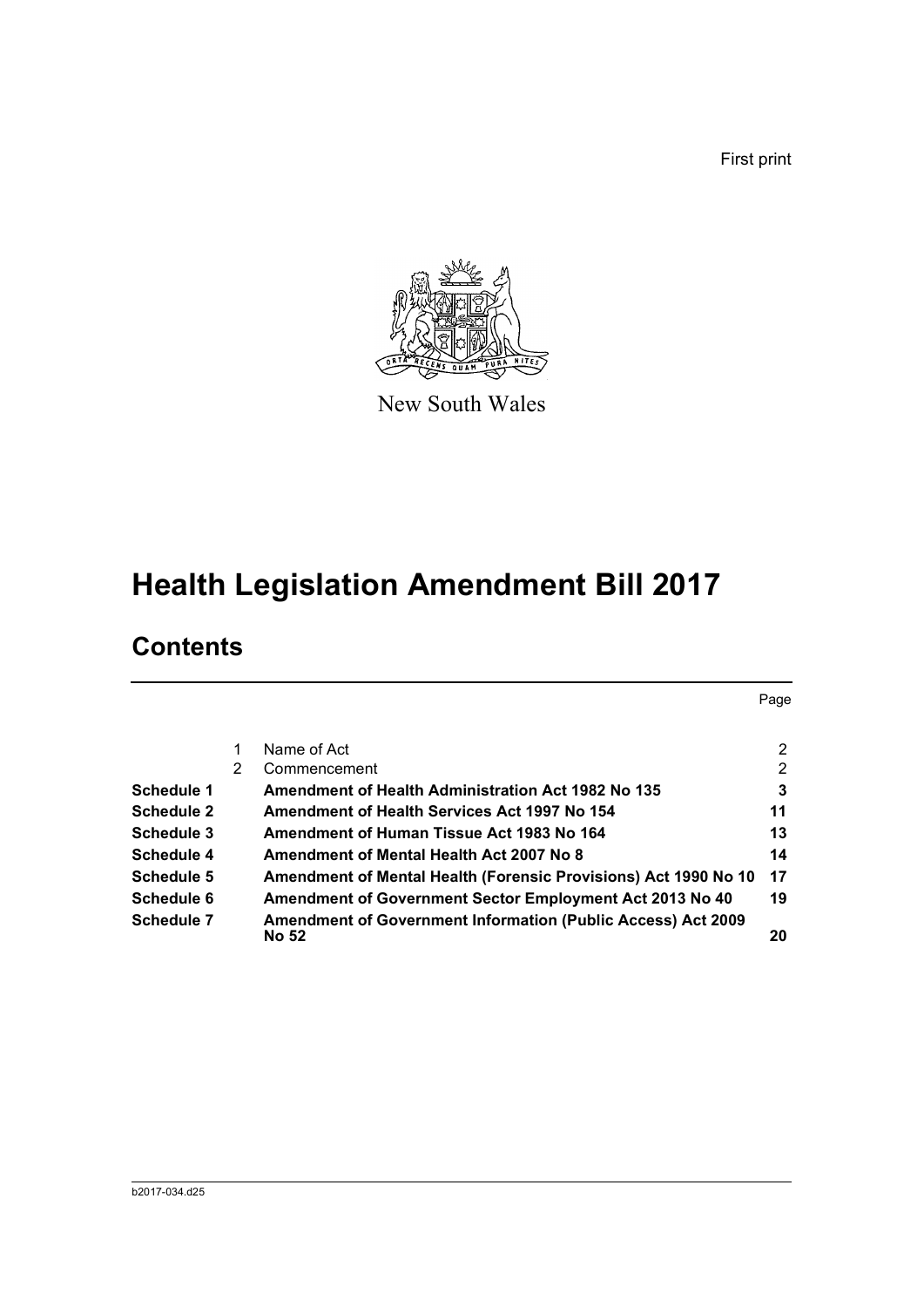First print



New South Wales

# **Health Legislation Amendment Bill 2017**

# **Contents**

|                   |   |                                                                              | Page           |
|-------------------|---|------------------------------------------------------------------------------|----------------|
|                   |   | Name of Act                                                                  | 2              |
|                   | 2 | Commencement                                                                 | $\overline{2}$ |
| Schedule 1        |   | Amendment of Health Administration Act 1982 No 135                           | 3              |
| <b>Schedule 2</b> |   | Amendment of Health Services Act 1997 No 154                                 | 11             |
| Schedule 3        |   | Amendment of Human Tissue Act 1983 No 164                                    | 13             |
| Schedule 4        |   | Amendment of Mental Health Act 2007 No 8                                     | 14             |
| Schedule 5        |   | Amendment of Mental Health (Forensic Provisions) Act 1990 No 10              | 17             |
| Schedule 6        |   | Amendment of Government Sector Employment Act 2013 No 40                     | 19             |
| Schedule 7        |   | <b>Amendment of Government Information (Public Access) Act 2009</b><br>No 52 | 20             |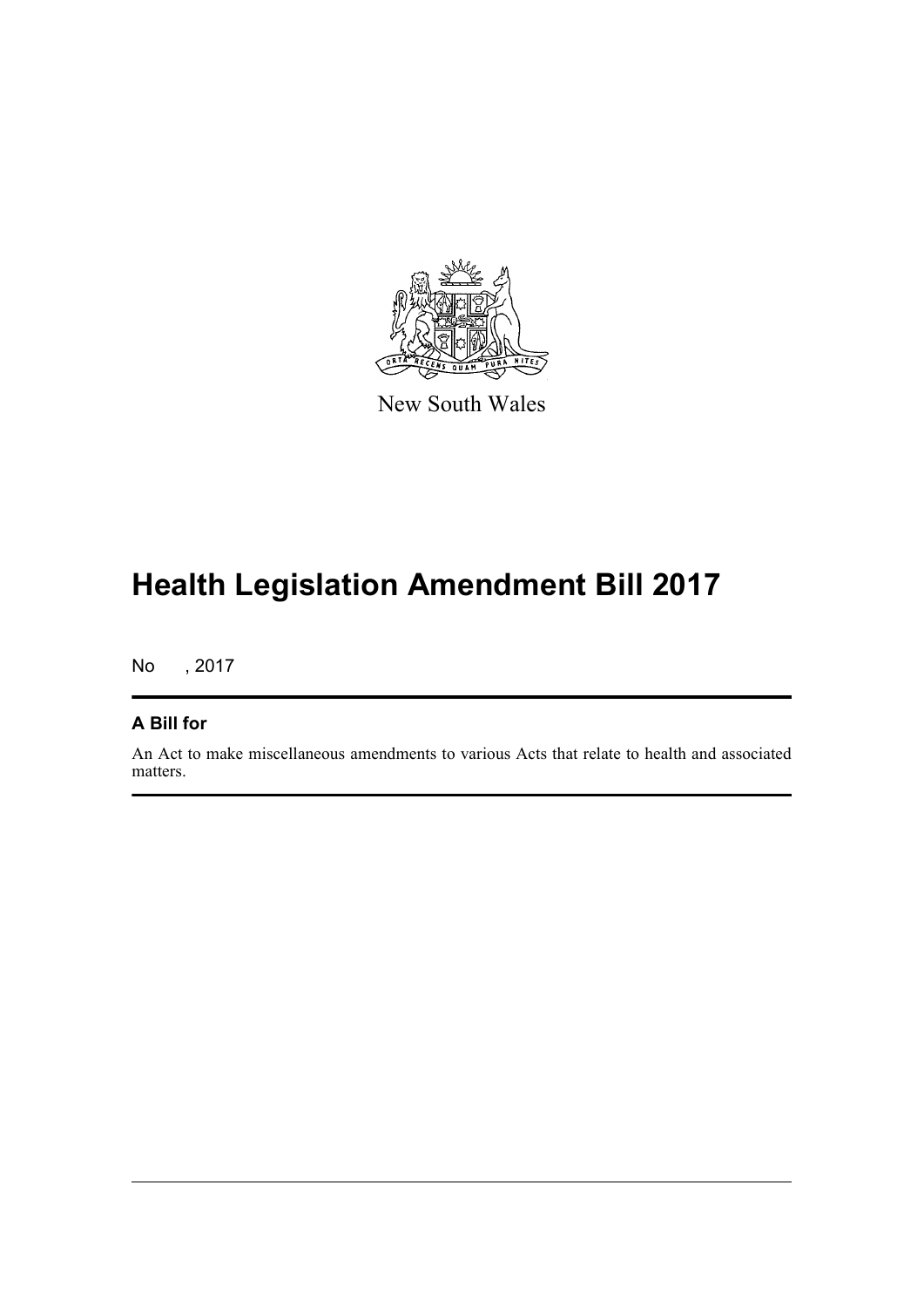

New South Wales

# **Health Legislation Amendment Bill 2017**

No , 2017

# **A Bill for**

An Act to make miscellaneous amendments to various Acts that relate to health and associated matters.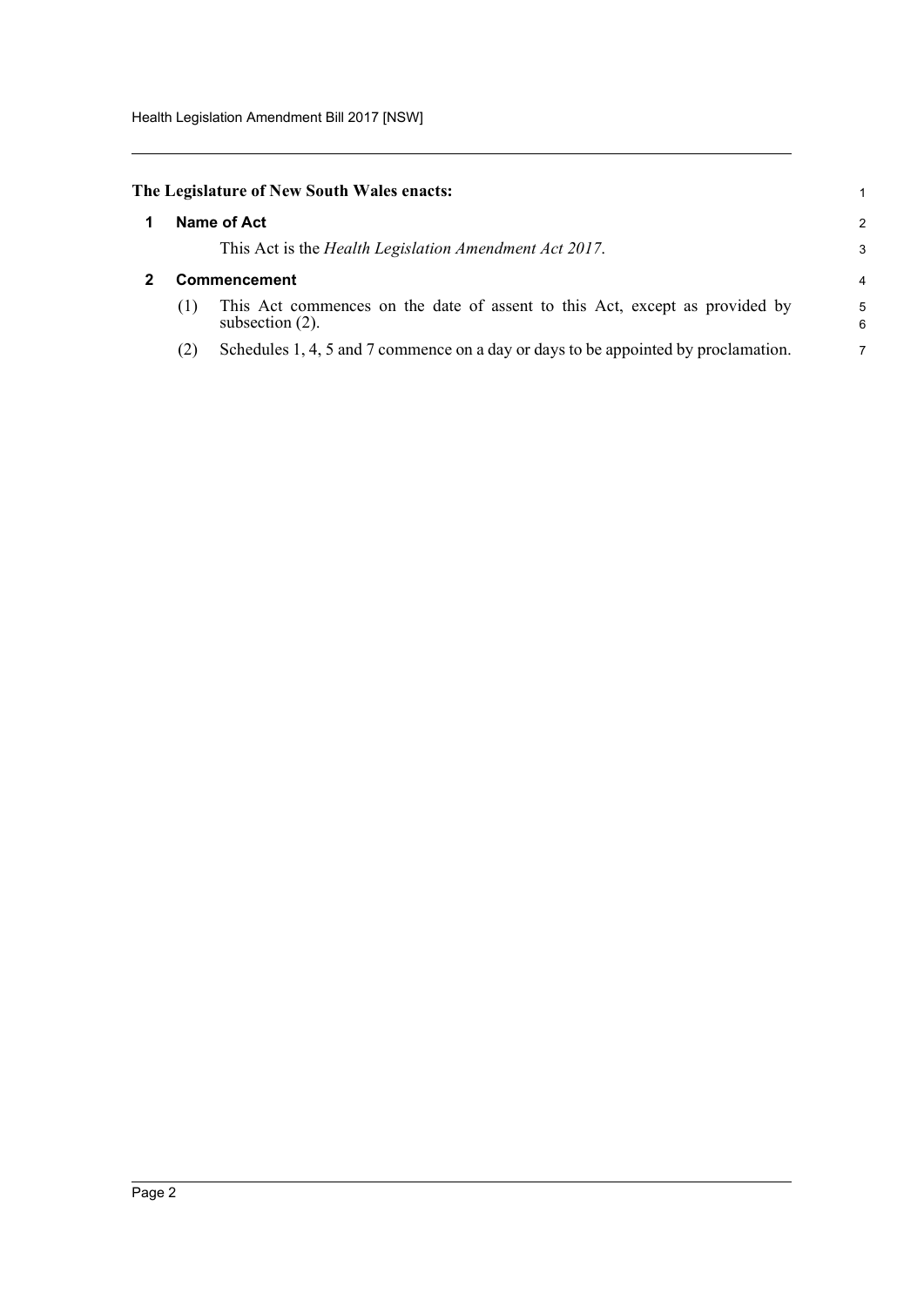<span id="page-7-1"></span><span id="page-7-0"></span>

|                     | The Legislature of New South Wales enacts:                                                        | 1              |
|---------------------|---------------------------------------------------------------------------------------------------|----------------|
|                     | Name of Act                                                                                       | $\mathcal{P}$  |
|                     | This Act is the <i>Health Legislation Amendment Act 2017</i> .                                    | 3              |
| <b>Commencement</b> |                                                                                                   |                |
| (1)                 | This Act commences on the date of assent to this Act, except as provided by<br>subsection $(2)$ . | 5<br>6         |
| (2)                 | Schedules 1, 4, 5 and 7 commence on a day or days to be appointed by proclamation.                | $\overline{7}$ |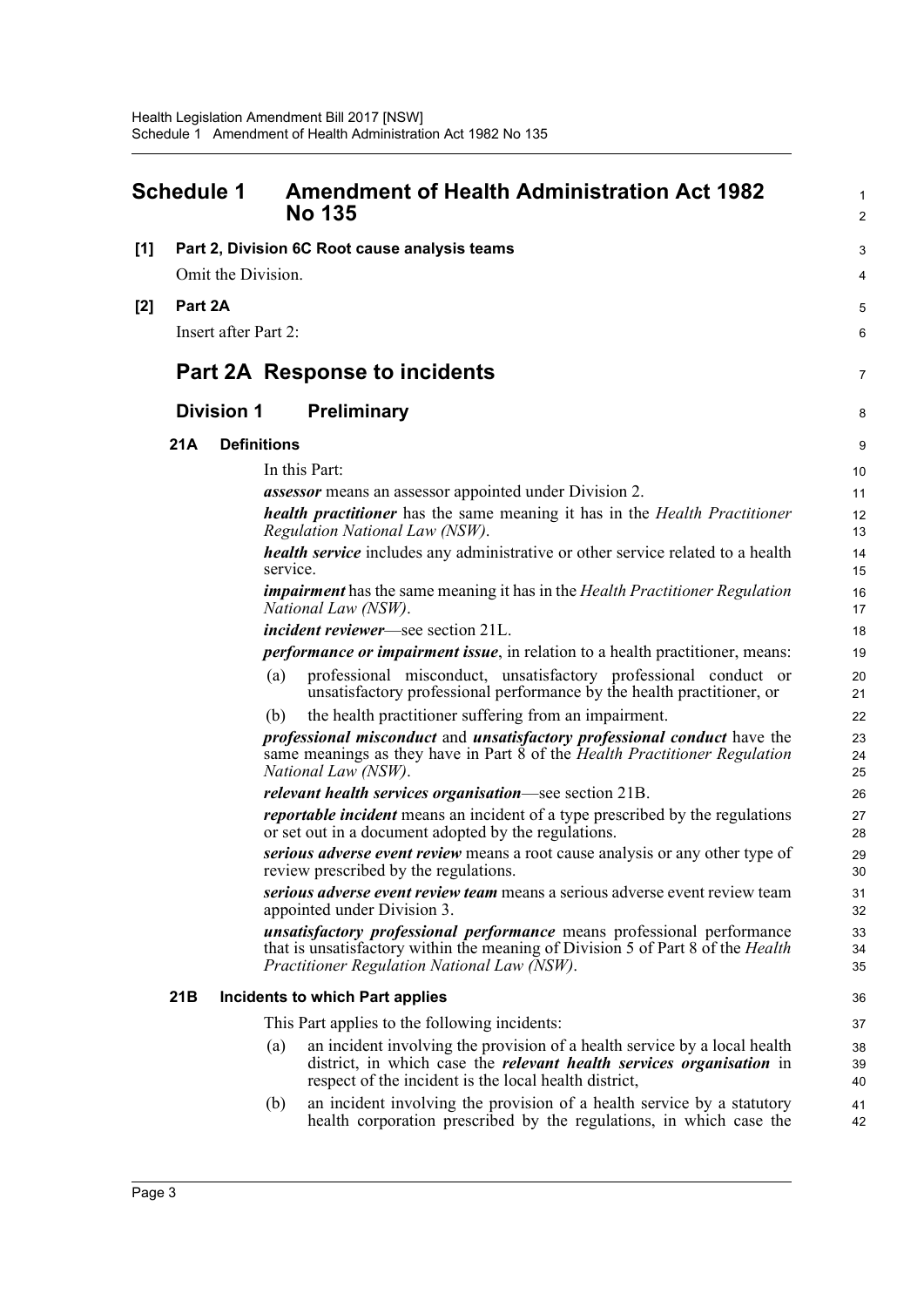<span id="page-8-0"></span>

| <b>Schedule 1</b> |                                                                     |                      | <b>Amendment of Health Administration Act 1982</b><br><b>No 135</b>                                                                                                                                                      | $\mathbf{1}$<br>$\overline{2}$ |
|-------------------|---------------------------------------------------------------------|----------------------|--------------------------------------------------------------------------------------------------------------------------------------------------------------------------------------------------------------------------|--------------------------------|
| [1]               | Part 2, Division 6C Root cause analysis teams<br>Omit the Division. |                      |                                                                                                                                                                                                                          |                                |
| [2]               | Part 2A                                                             | Insert after Part 2: |                                                                                                                                                                                                                          | 5<br>6                         |
|                   |                                                                     |                      | Part 2A Response to incidents                                                                                                                                                                                            | 7                              |
|                   |                                                                     | <b>Division 1</b>    | <b>Preliminary</b>                                                                                                                                                                                                       | 8                              |
|                   | 21A                                                                 |                      | <b>Definitions</b>                                                                                                                                                                                                       | 9                              |
|                   |                                                                     |                      | In this Part:                                                                                                                                                                                                            | 10                             |
|                   |                                                                     |                      | <i>assessor</i> means an assessor appointed under Division 2.                                                                                                                                                            | 11                             |
|                   |                                                                     |                      | <b>health practitioner</b> has the same meaning it has in the Health Practitioner<br>Regulation National Law (NSW).                                                                                                      | 12<br>13                       |
|                   |                                                                     |                      | <i>health service</i> includes any administrative or other service related to a health<br>service.                                                                                                                       | 14<br>15                       |
|                   |                                                                     |                      | <b>impairment</b> has the same meaning it has in the Health Practitioner Regulation<br>National Law (NSW).                                                                                                               | 16<br>17                       |
|                   |                                                                     |                      | <i>incident reviewer</i> —see section 21L.                                                                                                                                                                               | 18                             |
|                   |                                                                     |                      | <i>performance or impairment issue</i> , in relation to a health practitioner, means:                                                                                                                                    | 19                             |
|                   |                                                                     |                      | professional misconduct, unsatisfactory professional conduct or<br>(a)<br>unsatisfactory professional performance by the health practitioner, or                                                                         | 20<br>21                       |
|                   |                                                                     |                      | the health practitioner suffering from an impairment.<br>(b)                                                                                                                                                             | 22                             |
|                   |                                                                     |                      | professional misconduct and unsatisfactory professional conduct have the<br>same meanings as they have in Part 8 of the <i>Health Practitioner Regulation</i><br>National Law (NSW).                                     | 23<br>24<br>25                 |
|                   |                                                                     |                      | <i>relevant health services organisation—see section 21B.</i>                                                                                                                                                            | 26                             |
|                   |                                                                     |                      | <i>reportable incident</i> means an incident of a type prescribed by the regulations<br>or set out in a document adopted by the regulations.                                                                             | 27<br>28                       |
|                   |                                                                     |                      | serious adverse event review means a root cause analysis or any other type of<br>review prescribed by the regulations.                                                                                                   | 29<br>30                       |
|                   |                                                                     |                      | serious adverse event review team means a serious adverse event review team<br>appointed under Division 3.                                                                                                               | 31<br>32                       |
|                   |                                                                     |                      | unsatisfactory professional performance means professional performance<br>that is unsatisfactory within the meaning of Division 5 of Part 8 of the <i>Health</i><br>Practitioner Regulation National Law (NSW).          | 33<br>34<br>35                 |
|                   | 21B                                                                 |                      | Incidents to which Part applies                                                                                                                                                                                          | 36                             |
|                   |                                                                     |                      | This Part applies to the following incidents:                                                                                                                                                                            | 37                             |
|                   |                                                                     |                      | an incident involving the provision of a health service by a local health<br>(a)<br>district, in which case the <i>relevant health services organisation</i> in<br>respect of the incident is the local health district, | 38<br>39<br>40                 |
|                   |                                                                     |                      | an incident involving the provision of a health service by a statutory<br>(b)<br>health corporation prescribed by the regulations, in which case the                                                                     | 41<br>42                       |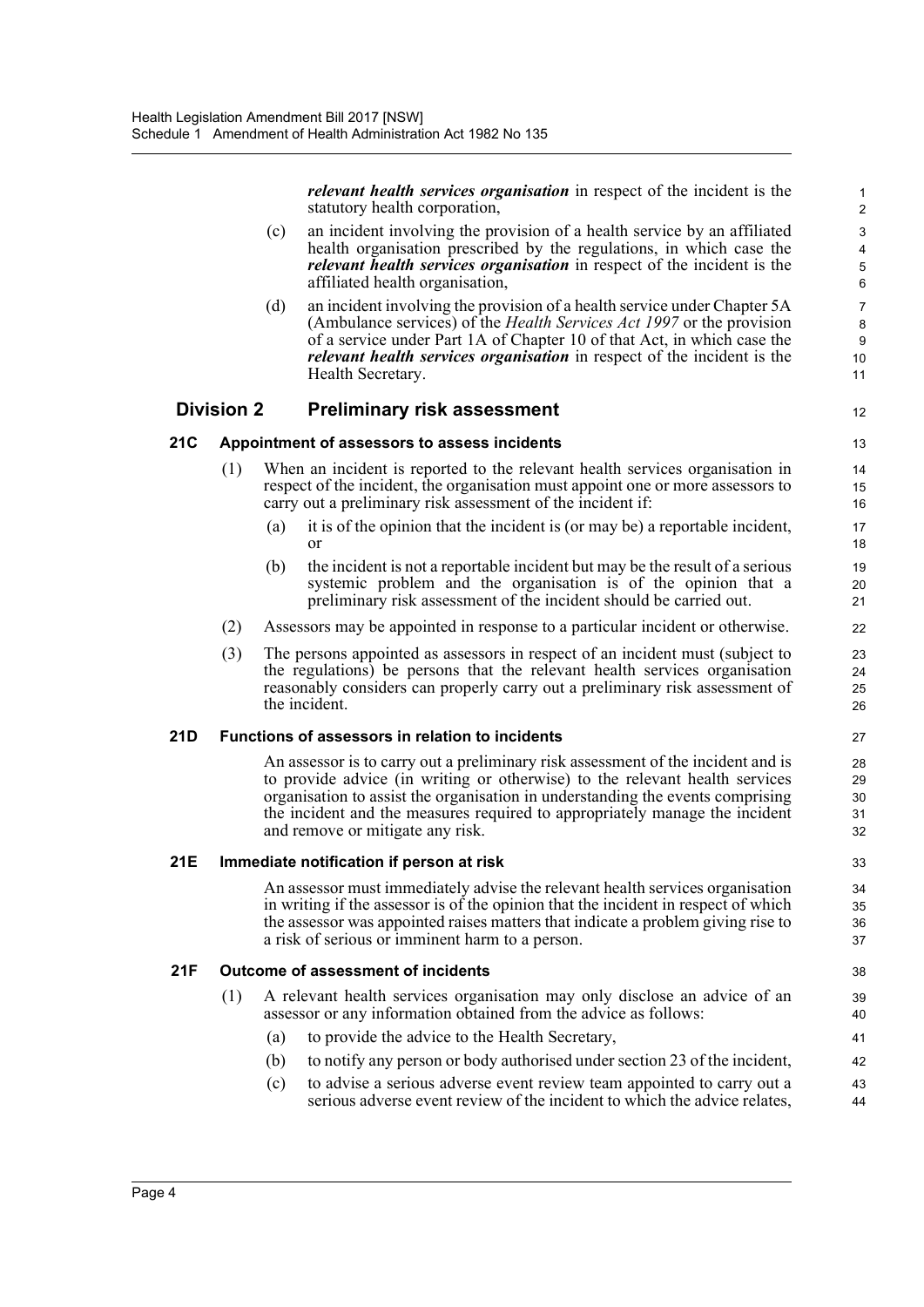*relevant health services organisation* in respect of the incident is the statutory health corporation,

12

- (c) an incident involving the provision of a health service by an affiliated health organisation prescribed by the regulations, in which case the *relevant health services organisation* in respect of the incident is the affiliated health organisation,
- (d) an incident involving the provision of a health service under Chapter 5A (Ambulance services) of the *Health Services Act 1997* or the provision of a service under Part 1A of Chapter 10 of that Act, in which case the *relevant health services organisation* in respect of the incident is the Health Secretary.

# **Division 2 Preliminary risk assessment**

### **21C Appointment of assessors to assess incidents**

- (1) When an incident is reported to the relevant health services organisation in respect of the incident, the organisation must appoint one or more assessors to carry out a preliminary risk assessment of the incident if:
	- (a) it is of the opinion that the incident is (or may be) a reportable incident, or
	- (b) the incident is not a reportable incident but may be the result of a serious systemic problem and the organisation is of the opinion that a preliminary risk assessment of the incident should be carried out.
- (2) Assessors may be appointed in response to a particular incident or otherwise.
- (3) The persons appointed as assessors in respect of an incident must (subject to the regulations) be persons that the relevant health services organisation reasonably considers can properly carry out a preliminary risk assessment of the incident.

#### **21D Functions of assessors in relation to incidents**

An assessor is to carry out a preliminary risk assessment of the incident and is to provide advice (in writing or otherwise) to the relevant health services organisation to assist the organisation in understanding the events comprising the incident and the measures required to appropriately manage the incident and remove or mitigate any risk.

#### **21E Immediate notification if person at risk**

An assessor must immediately advise the relevant health services organisation in writing if the assessor is of the opinion that the incident in respect of which the assessor was appointed raises matters that indicate a problem giving rise to a risk of serious or imminent harm to a person.

#### **21F Outcome of assessment of incidents**

- (1) A relevant health services organisation may only disclose an advice of an assessor or any information obtained from the advice as follows:
	- (a) to provide the advice to the Health Secretary,
	- (b) to notify any person or body authorised under section 23 of the incident,
	- (c) to advise a serious adverse event review team appointed to carry out a serious adverse event review of the incident to which the advice relates, 43 44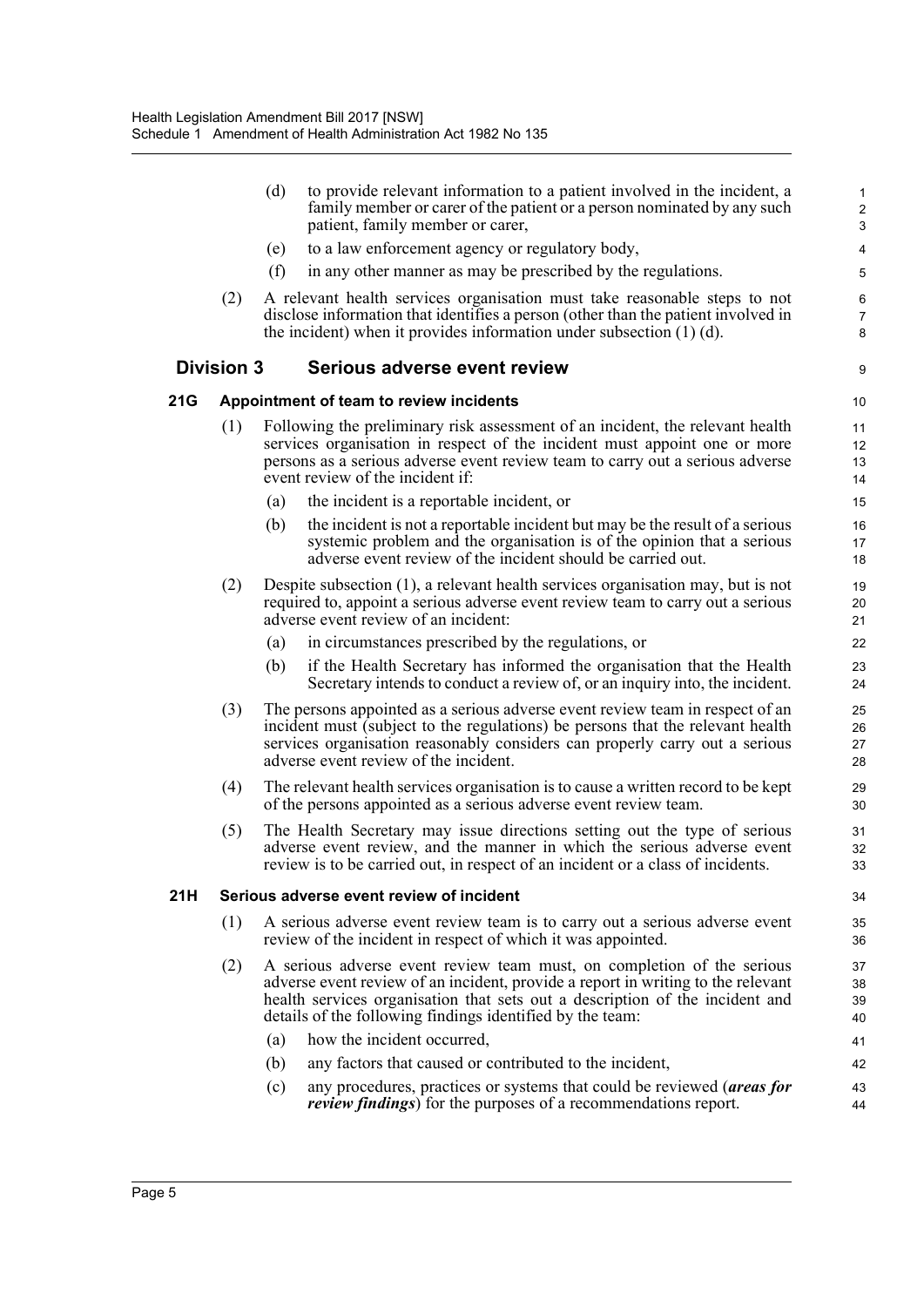|     |                   | (d) | to provide relevant information to a patient involved in the incident, a<br>family member or carer of the patient or a person nominated by any such                                                                                                                                                     | $\mathbf{1}$<br>$\boldsymbol{2}$ |
|-----|-------------------|-----|---------------------------------------------------------------------------------------------------------------------------------------------------------------------------------------------------------------------------------------------------------------------------------------------------------|----------------------------------|
|     |                   |     | patient, family member or carer,                                                                                                                                                                                                                                                                        | 3                                |
|     |                   | (e) | to a law enforcement agency or regulatory body,                                                                                                                                                                                                                                                         | 4                                |
|     |                   | (f) | in any other manner as may be prescribed by the regulations.                                                                                                                                                                                                                                            | 5                                |
|     | (2)               |     | A relevant health services organisation must take reasonable steps to not<br>disclose information that identifies a person (other than the patient involved in<br>the incident) when it provides information under subsection $(1)$ (d).                                                                | $\,6\,$<br>$\overline{7}$<br>8   |
|     | <b>Division 3</b> |     | Serious adverse event review                                                                                                                                                                                                                                                                            | 9                                |
| 21G |                   |     | Appointment of team to review incidents                                                                                                                                                                                                                                                                 | 10                               |
|     | (1)               |     | Following the preliminary risk assessment of an incident, the relevant health<br>services organisation in respect of the incident must appoint one or more<br>persons as a serious adverse event review team to carry out a serious adverse<br>event review of the incident if:                         | 11<br>12<br>13<br>14             |
|     |                   | (a) | the incident is a reportable incident, or                                                                                                                                                                                                                                                               | 15                               |
|     |                   | (b) | the incident is not a reportable incident but may be the result of a serious<br>systemic problem and the organisation is of the opinion that a serious<br>adverse event review of the incident should be carried out.                                                                                   | 16<br>17<br>18                   |
|     | (2)               |     | Despite subsection (1), a relevant health services organisation may, but is not<br>required to, appoint a serious adverse event review team to carry out a serious<br>adverse event review of an incident:                                                                                              | 19<br>20<br>21                   |
|     |                   | (a) | in circumstances prescribed by the regulations, or                                                                                                                                                                                                                                                      | 22                               |
|     |                   | (b) | if the Health Secretary has informed the organisation that the Health<br>Secretary intends to conduct a review of, or an inquiry into, the incident.                                                                                                                                                    | 23<br>24                         |
|     | (3)               |     | The persons appointed as a serious adverse event review team in respect of an<br>incident must (subject to the regulations) be persons that the relevant health<br>services organisation reasonably considers can properly carry out a serious<br>adverse event review of the incident.                 | 25<br>26<br>27<br>28             |
|     | (4)               |     | The relevant health services organisation is to cause a written record to be kept<br>of the persons appointed as a serious adverse event review team.                                                                                                                                                   | 29<br>30                         |
|     | (5)               |     | The Health Secretary may issue directions setting out the type of serious<br>adverse event review, and the manner in which the serious adverse event<br>review is to be carried out, in respect of an incident or a class of incidents.                                                                 | 31<br>32<br>33                   |
| 21H |                   |     | Serious adverse event review of incident                                                                                                                                                                                                                                                                | 34                               |
|     | (1)               |     | A serious adverse event review team is to carry out a serious adverse event<br>review of the incident in respect of which it was appointed.                                                                                                                                                             | 35<br>36                         |
|     | (2)               |     | A serious adverse event review team must, on completion of the serious<br>adverse event review of an incident, provide a report in writing to the relevant<br>health services organisation that sets out a description of the incident and<br>details of the following findings identified by the team: | 37<br>38<br>39<br>40             |
|     |                   | (a) | how the incident occurred,                                                                                                                                                                                                                                                                              | 41                               |
|     |                   | (b) | any factors that caused or contributed to the incident,                                                                                                                                                                                                                                                 | 42                               |
|     |                   | (c) | any procedures, practices or systems that could be reviewed (areas for<br><i>review findings</i> ) for the purposes of a recommendations report.                                                                                                                                                        | 43<br>44                         |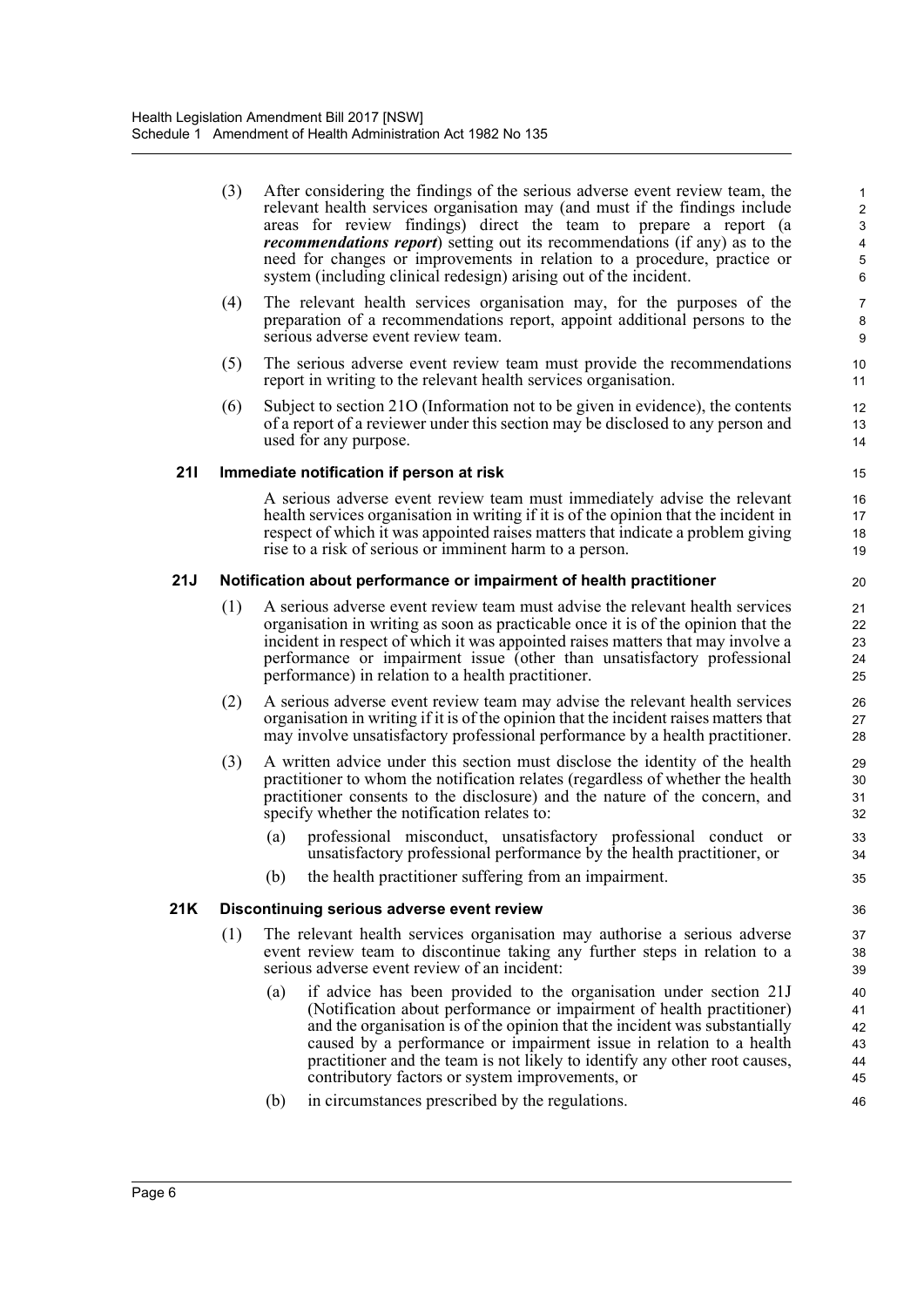- (3) After considering the findings of the serious adverse event review team, the relevant health services organisation may (and must if the findings include areas for review findings) direct the team to prepare a report (a *recommendations report*) setting out its recommendations (if any) as to the need for changes or improvements in relation to a procedure, practice or system (including clinical redesign) arising out of the incident.
- (4) The relevant health services organisation may, for the purposes of the preparation of a recommendations report, appoint additional persons to the serious adverse event review team.
- (5) The serious adverse event review team must provide the recommendations report in writing to the relevant health services organisation.
- (6) Subject to section 21O (Information not to be given in evidence), the contents of a report of a reviewer under this section may be disclosed to any person and used for any purpose.

## **21I Immediate notification if person at risk**

A serious adverse event review team must immediately advise the relevant health services organisation in writing if it is of the opinion that the incident in respect of which it was appointed raises matters that indicate a problem giving rise to a risk of serious or imminent harm to a person.

## **21J Notification about performance or impairment of health practitioner**

- (1) A serious adverse event review team must advise the relevant health services organisation in writing as soon as practicable once it is of the opinion that the incident in respect of which it was appointed raises matters that may involve a performance or impairment issue (other than unsatisfactory professional performance) in relation to a health practitioner.
- (2) A serious adverse event review team may advise the relevant health services organisation in writing if it is of the opinion that the incident raises matters that may involve unsatisfactory professional performance by a health practitioner.
- (3) A written advice under this section must disclose the identity of the health practitioner to whom the notification relates (regardless of whether the health practitioner consents to the disclosure) and the nature of the concern, and specify whether the notification relates to:
	- (a) professional misconduct, unsatisfactory professional conduct or unsatisfactory professional performance by the health practitioner, or
	- (b) the health practitioner suffering from an impairment.

## **21K Discontinuing serious adverse event review**

- (1) The relevant health services organisation may authorise a serious adverse event review team to discontinue taking any further steps in relation to a serious adverse event review of an incident:
	- (a) if advice has been provided to the organisation under section 21J (Notification about performance or impairment of health practitioner) and the organisation is of the opinion that the incident was substantially caused by a performance or impairment issue in relation to a health practitioner and the team is not likely to identify any other root causes, contributory factors or system improvements, or
	- (b) in circumstances prescribed by the regulations.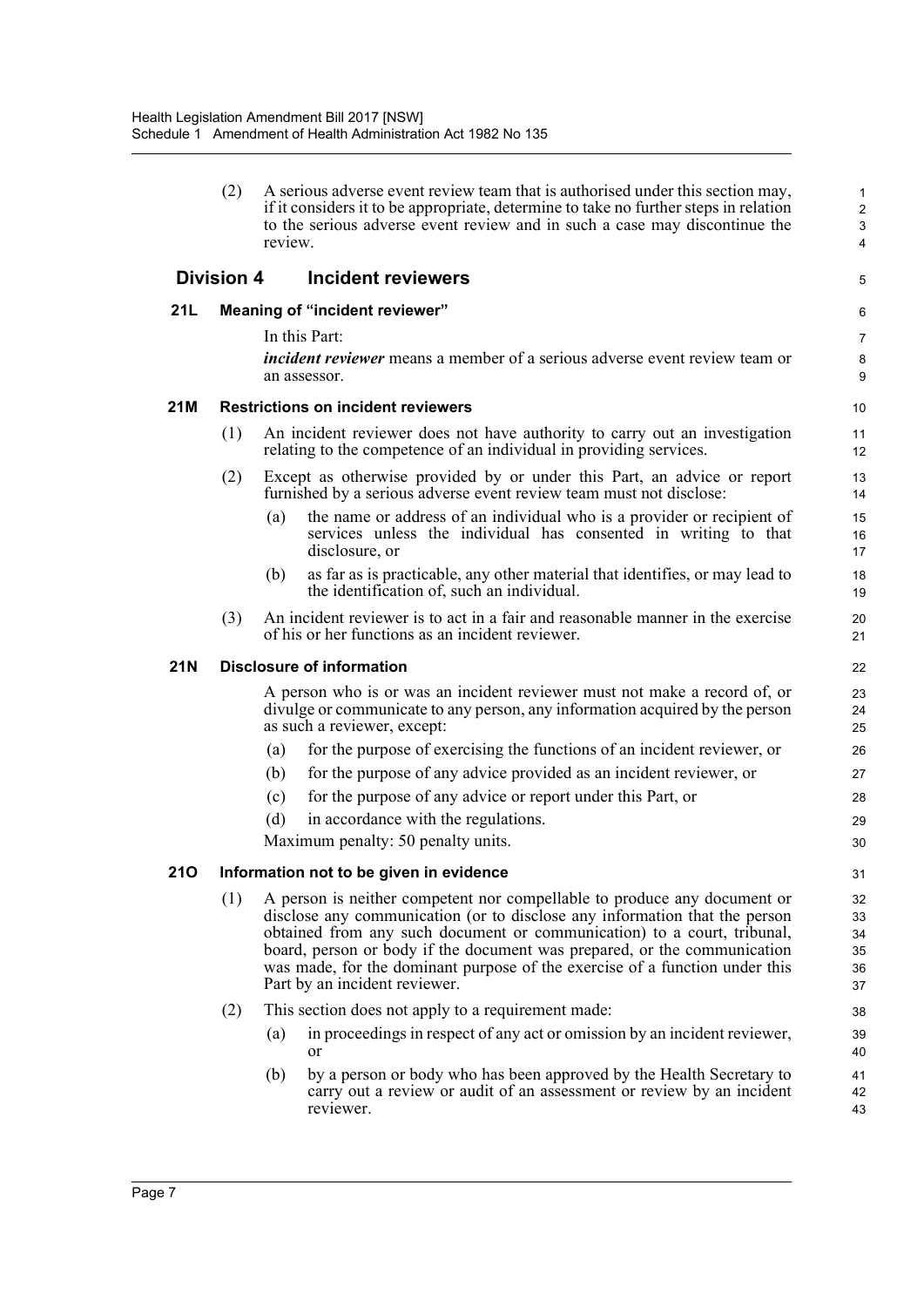| (2) A serious adverse event review team that is authorised under this section may,   |
|--------------------------------------------------------------------------------------|
|                                                                                      |
| if it considers it to be appropriate, determine to take no further steps in relation |
| to the serious adverse event review and in such a case may discontinue the           |
| review.                                                                              |
|                                                                                      |

5

## **Division 4 Incident reviewers**

## **21L Meaning of "incident reviewer"**

In this Part:

*incident reviewer* means a member of a serious adverse event review team or an assessor.

### **21M Restrictions on incident reviewers**

- (1) An incident reviewer does not have authority to carry out an investigation relating to the competence of an individual in providing services.
- (2) Except as otherwise provided by or under this Part, an advice or report furnished by a serious adverse event review team must not disclose:
	- (a) the name or address of an individual who is a provider or recipient of services unless the individual has consented in writing to that disclosure, or
	- (b) as far as is practicable, any other material that identifies, or may lead to the identification of, such an individual.
- (3) An incident reviewer is to act in a fair and reasonable manner in the exercise of his or her functions as an incident reviewer.

#### **21N Disclosure of information**

A person who is or was an incident reviewer must not make a record of, or divulge or communicate to any person, any information acquired by the person as such a reviewer, except:

- (a) for the purpose of exercising the functions of an incident reviewer, or
- (b) for the purpose of any advice provided as an incident reviewer, or
- (c) for the purpose of any advice or report under this Part, or
- (d) in accordance with the regulations.

Maximum penalty: 50 penalty units.

#### **21O Information not to be given in evidence**

- (1) A person is neither competent nor compellable to produce any document or disclose any communication (or to disclose any information that the person obtained from any such document or communication) to a court, tribunal, board, person or body if the document was prepared, or the communication was made, for the dominant purpose of the exercise of a function under this Part by an incident reviewer.
- (2) This section does not apply to a requirement made:
	- (a) in proceedings in respect of any act or omission by an incident reviewer, or
	- (b) by a person or body who has been approved by the Health Secretary to carry out a review or audit of an assessment or review by an incident reviewer.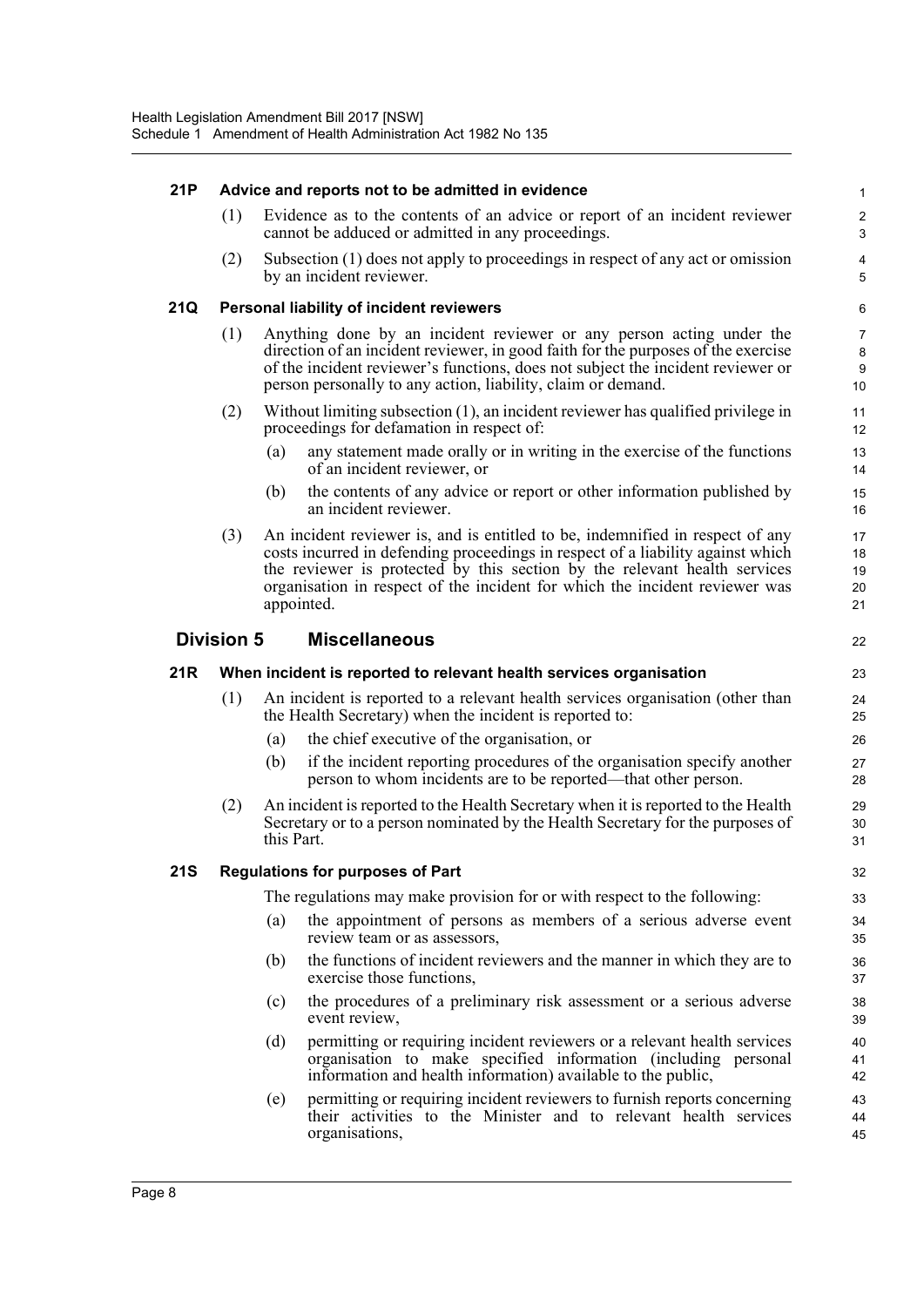## **21P Advice and reports not to be admitted in evidence**

(1) Evidence as to the contents of an advice or report of an incident reviewer cannot be adduced or admitted in any proceedings.

22

(2) Subsection (1) does not apply to proceedings in respect of any act or omission by an incident reviewer.

#### **21Q Personal liability of incident reviewers**

- (1) Anything done by an incident reviewer or any person acting under the direction of an incident reviewer, in good faith for the purposes of the exercise of the incident reviewer's functions, does not subject the incident reviewer or person personally to any action, liability, claim or demand.
- (2) Without limiting subsection (1), an incident reviewer has qualified privilege in proceedings for defamation in respect of:
	- (a) any statement made orally or in writing in the exercise of the functions of an incident reviewer, or
	- (b) the contents of any advice or report or other information published by an incident reviewer.
- (3) An incident reviewer is, and is entitled to be, indemnified in respect of any costs incurred in defending proceedings in respect of a liability against which the reviewer is protected by this section by the relevant health services organisation in respect of the incident for which the incident reviewer was appointed.

## **Division 5 Miscellaneous**

#### **21R When incident is reported to relevant health services organisation**

- (1) An incident is reported to a relevant health services organisation (other than the Health Secretary) when the incident is reported to:
	- (a) the chief executive of the organisation, or
	- (b) if the incident reporting procedures of the organisation specify another person to whom incidents are to be reported—that other person.
- (2) An incident is reported to the Health Secretary when it is reported to the Health Secretary or to a person nominated by the Health Secretary for the purposes of this Part.

#### **21S Regulations for purposes of Part**

The regulations may make provision for or with respect to the following:

- (a) the appointment of persons as members of a serious adverse event review team or as assessors,
- (b) the functions of incident reviewers and the manner in which they are to exercise those functions,
- (c) the procedures of a preliminary risk assessment or a serious adverse event review,
- (d) permitting or requiring incident reviewers or a relevant health services organisation to make specified information (including personal information and health information) available to the public,
- (e) permitting or requiring incident reviewers to furnish reports concerning their activities to the Minister and to relevant health services organisations,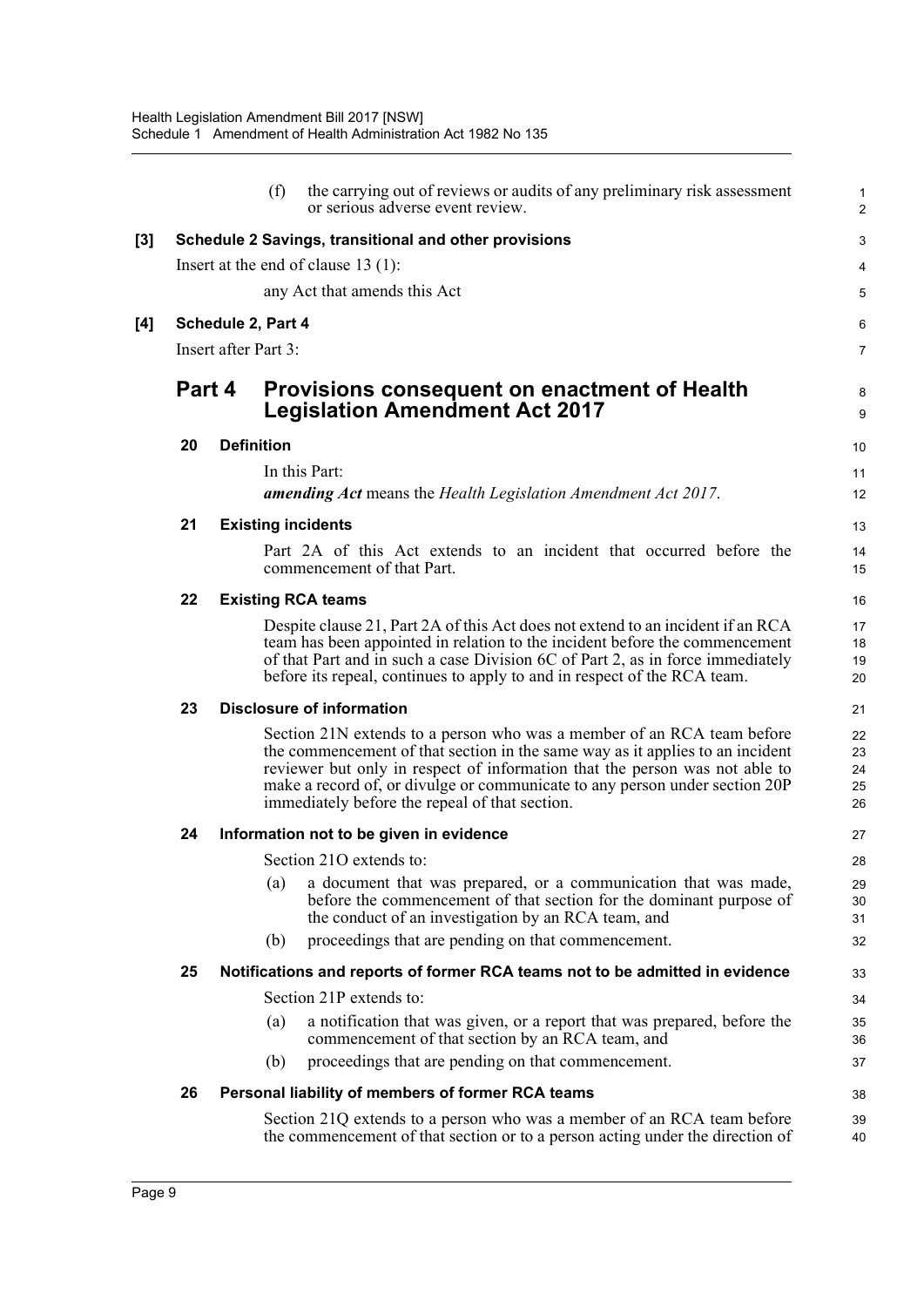|     |        | (f)                       | the carrying out of reviews or audits of any preliminary risk assessment<br>or serious adverse event review.                                                                                                                                                                                                                                                            | 1<br>$\overline{a}$        |
|-----|--------|---------------------------|-------------------------------------------------------------------------------------------------------------------------------------------------------------------------------------------------------------------------------------------------------------------------------------------------------------------------------------------------------------------------|----------------------------|
| [3] |        |                           | Schedule 2 Savings, transitional and other provisions                                                                                                                                                                                                                                                                                                                   | 3                          |
|     |        |                           | Insert at the end of clause $13(1)$ :                                                                                                                                                                                                                                                                                                                                   |                            |
|     |        |                           | any Act that amends this Act                                                                                                                                                                                                                                                                                                                                            | 5                          |
| [4] |        | Schedule 2, Part 4        |                                                                                                                                                                                                                                                                                                                                                                         | 6                          |
|     |        | Insert after Part 3:      |                                                                                                                                                                                                                                                                                                                                                                         | 7                          |
|     | Part 4 |                           | Provisions consequent on enactment of Health<br><b>Legislation Amendment Act 2017</b>                                                                                                                                                                                                                                                                                   | 8<br>9                     |
|     | 20     | <b>Definition</b>         |                                                                                                                                                                                                                                                                                                                                                                         | 10                         |
|     |        |                           | In this Part:                                                                                                                                                                                                                                                                                                                                                           | 11                         |
|     |        |                           | amending Act means the Health Legislation Amendment Act 2017.                                                                                                                                                                                                                                                                                                           | 12                         |
|     | 21     | <b>Existing incidents</b> |                                                                                                                                                                                                                                                                                                                                                                         | 13                         |
|     |        |                           | Part 2A of this Act extends to an incident that occurred before the<br>commencement of that Part.                                                                                                                                                                                                                                                                       | 14<br>15                   |
|     | 22     | <b>Existing RCA teams</b> |                                                                                                                                                                                                                                                                                                                                                                         | 16                         |
|     |        |                           | Despite clause 21, Part 2A of this Act does not extend to an incident if an RCA<br>team has been appointed in relation to the incident before the commencement<br>of that Part and in such a case Division 6C of Part 2, as in force immediately<br>before its repeal, continues to apply to and in respect of the RCA team.                                            | 17<br>18<br>19<br>20       |
|     | 23     |                           | <b>Disclosure of information</b>                                                                                                                                                                                                                                                                                                                                        | 21                         |
|     |        |                           | Section 21N extends to a person who was a member of an RCA team before<br>the commencement of that section in the same way as it applies to an incident<br>reviewer but only in respect of information that the person was not able to<br>make a record of, or divulge or communicate to any person under section 20P<br>immediately before the repeal of that section. | 22<br>23<br>24<br>25<br>26 |
|     | 24     |                           | Information not to be given in evidence                                                                                                                                                                                                                                                                                                                                 | 27                         |
|     |        |                           | Section 21O extends to:                                                                                                                                                                                                                                                                                                                                                 | 28                         |
|     |        | (a)                       | a document that was prepared, or a communication that was made,<br>before the commencement of that section for the dominant purpose of<br>the conduct of an investigation by an RCA team, and                                                                                                                                                                           | 29<br>30<br>31             |
|     |        | (b)                       | proceedings that are pending on that commencement.                                                                                                                                                                                                                                                                                                                      | 32                         |
|     | 25     |                           | Notifications and reports of former RCA teams not to be admitted in evidence                                                                                                                                                                                                                                                                                            | 33                         |
|     |        |                           | Section 21P extends to:                                                                                                                                                                                                                                                                                                                                                 | 34                         |
|     |        | (a)                       | a notification that was given, or a report that was prepared, before the<br>commencement of that section by an RCA team, and                                                                                                                                                                                                                                            | 35<br>36                   |
|     |        | (b)                       | proceedings that are pending on that commencement.                                                                                                                                                                                                                                                                                                                      | 37                         |
|     | 26     |                           | Personal liability of members of former RCA teams                                                                                                                                                                                                                                                                                                                       | 38                         |
|     |        |                           | Section 21Q extends to a person who was a member of an RCA team before<br>the commencement of that section or to a person acting under the direction of                                                                                                                                                                                                                 | 39<br>40                   |
|     |        |                           |                                                                                                                                                                                                                                                                                                                                                                         |                            |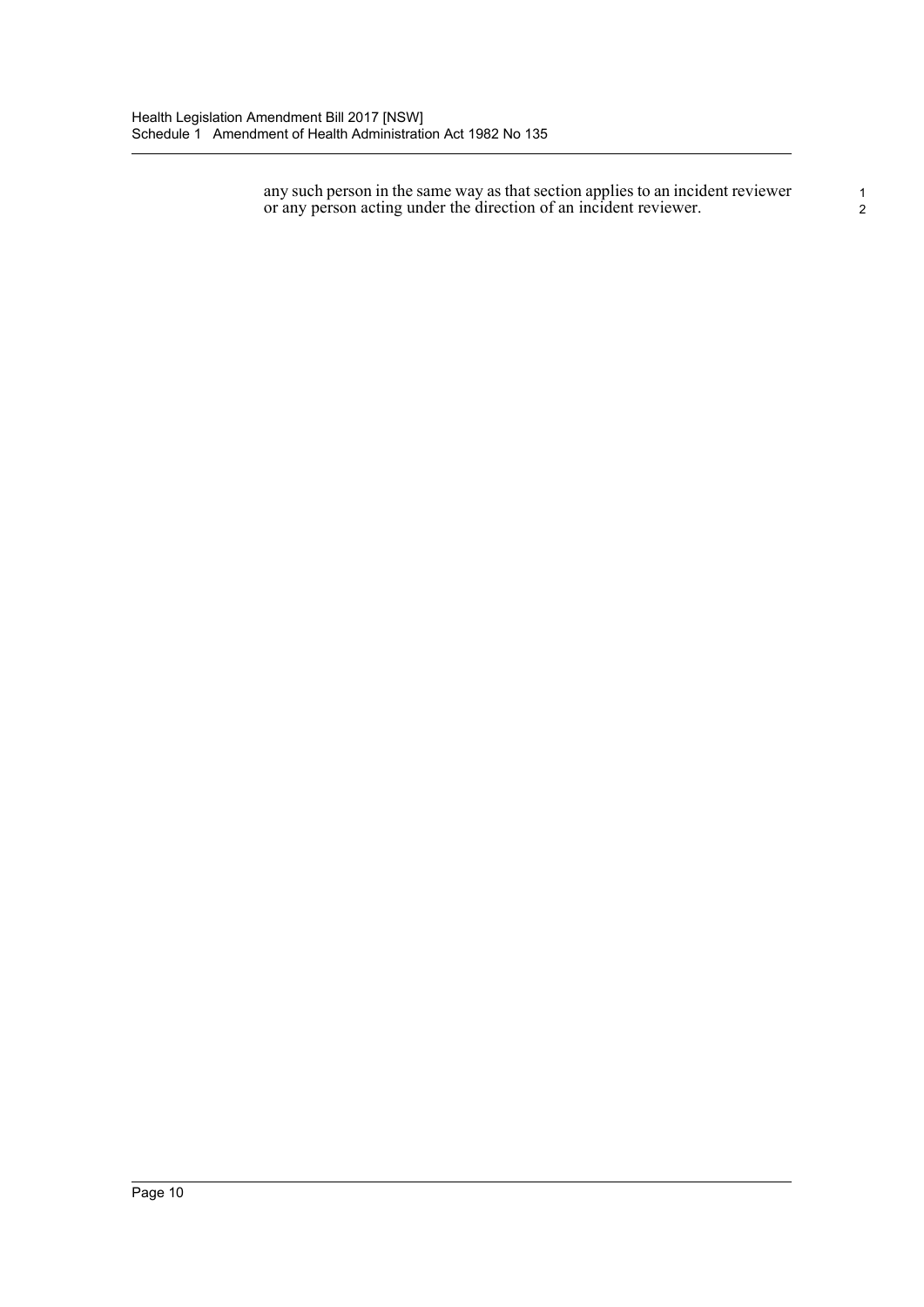any such person in the same way as that section applies to an incident reviewer or any person acting under the direction of an incident reviewer.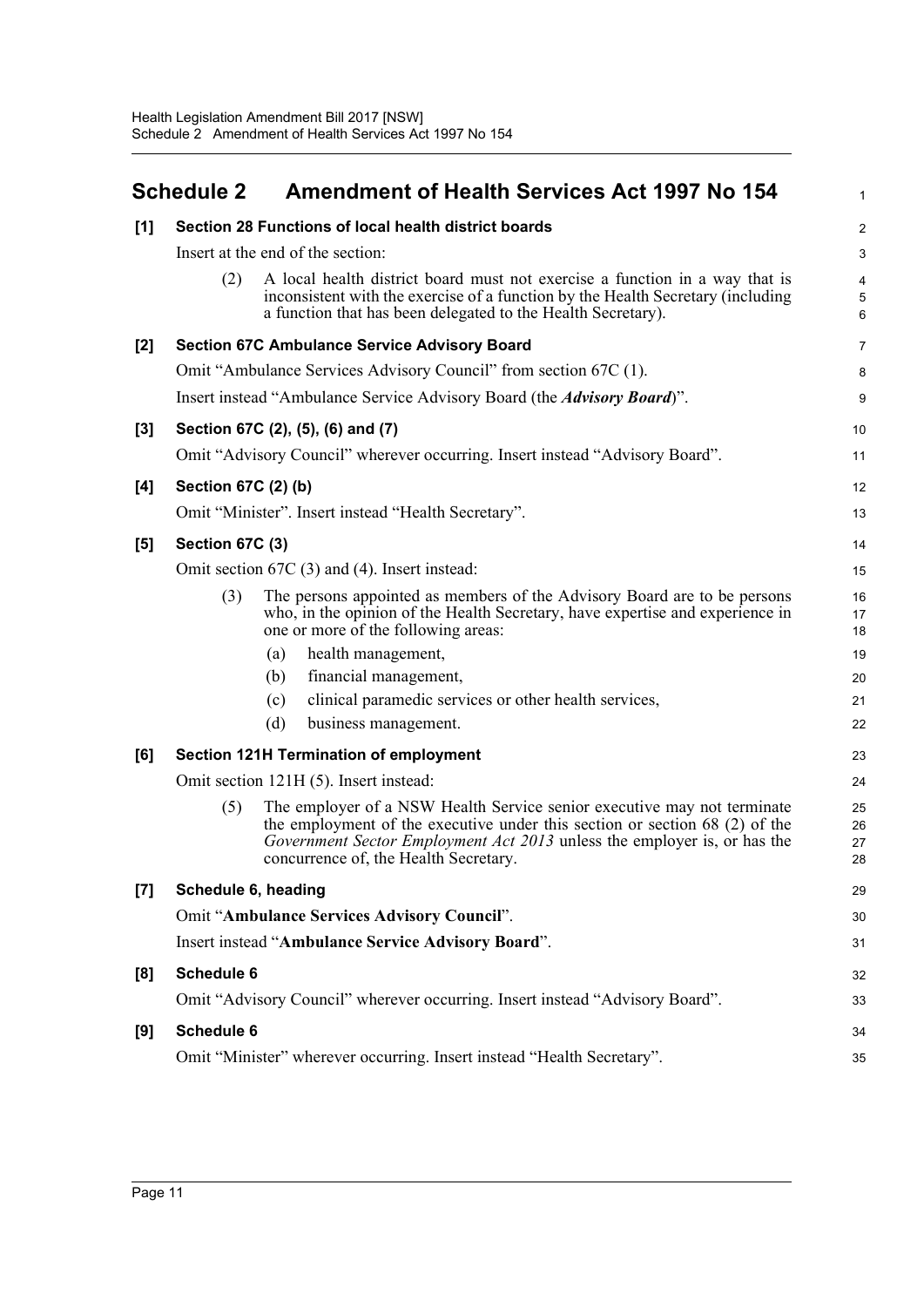<span id="page-16-0"></span>

|     | <b>Schedule 2</b>                                    |                                                     | <b>Amendment of Health Services Act 1997 No 154</b>                                                                                                                                                                                 | 1                    |  |  |
|-----|------------------------------------------------------|-----------------------------------------------------|-------------------------------------------------------------------------------------------------------------------------------------------------------------------------------------------------------------------------------------|----------------------|--|--|
| [1] | Section 28 Functions of local health district boards |                                                     |                                                                                                                                                                                                                                     |                      |  |  |
|     |                                                      | Insert at the end of the section:                   |                                                                                                                                                                                                                                     | 3                    |  |  |
|     | (2)                                                  |                                                     | A local health district board must not exercise a function in a way that is<br>inconsistent with the exercise of a function by the Health Secretary (including<br>a function that has been delegated to the Health Secretary).      | 4<br>5<br>6          |  |  |
| [2] |                                                      | <b>Section 67C Ambulance Service Advisory Board</b> |                                                                                                                                                                                                                                     | 7                    |  |  |
|     |                                                      |                                                     | Omit "Ambulance Services Advisory Council" from section 67C (1).                                                                                                                                                                    | 8                    |  |  |
|     |                                                      |                                                     | Insert instead "Ambulance Service Advisory Board (the <i>Advisory Board</i> )".                                                                                                                                                     | 9                    |  |  |
| [3] |                                                      | Section 67C (2), (5), (6) and (7)                   |                                                                                                                                                                                                                                     | 10                   |  |  |
|     |                                                      |                                                     | Omit "Advisory Council" wherever occurring. Insert instead "Advisory Board".                                                                                                                                                        | 11                   |  |  |
| [4] | Section 67C (2) (b)                                  |                                                     |                                                                                                                                                                                                                                     | 12                   |  |  |
|     |                                                      | Omit "Minister". Insert instead "Health Secretary". |                                                                                                                                                                                                                                     | 13                   |  |  |
| [5] | Section 67C (3)                                      |                                                     |                                                                                                                                                                                                                                     | 14                   |  |  |
|     | Omit section 67C (3) and (4). Insert instead:        |                                                     |                                                                                                                                                                                                                                     |                      |  |  |
|     | (3)                                                  | one or more of the following areas:                 | The persons appointed as members of the Advisory Board are to be persons<br>who, in the opinion of the Health Secretary, have expertise and experience in                                                                           | 16<br>17<br>18       |  |  |
|     |                                                      | health management,<br>(a)                           |                                                                                                                                                                                                                                     | 19                   |  |  |
|     |                                                      | financial management,<br>(b)                        |                                                                                                                                                                                                                                     | 20                   |  |  |
|     |                                                      | (c)                                                 | clinical paramedic services or other health services,                                                                                                                                                                               | 21                   |  |  |
|     |                                                      | (d)<br>business management.                         |                                                                                                                                                                                                                                     | 22                   |  |  |
| [6] |                                                      | <b>Section 121H Termination of employment</b>       |                                                                                                                                                                                                                                     | 23                   |  |  |
|     |                                                      | Omit section 121H (5). Insert instead:              |                                                                                                                                                                                                                                     | 24                   |  |  |
|     | (5)                                                  | concurrence of, the Health Secretary.               | The employer of a NSW Health Service senior executive may not terminate<br>the employment of the executive under this section or section $68(2)$ of the<br>Government Sector Employment Act 2013 unless the employer is, or has the | 25<br>26<br>27<br>28 |  |  |
| [7] | Schedule 6, heading                                  |                                                     |                                                                                                                                                                                                                                     | 29                   |  |  |
|     |                                                      | Omit "Ambulance Services Advisory Council".         |                                                                                                                                                                                                                                     | 30                   |  |  |
|     |                                                      | Insert instead "Ambulance Service Advisory Board".  |                                                                                                                                                                                                                                     | 31                   |  |  |
| [8] | <b>Schedule 6</b>                                    |                                                     |                                                                                                                                                                                                                                     | 32                   |  |  |
|     |                                                      |                                                     | Omit "Advisory Council" wherever occurring. Insert instead "Advisory Board".                                                                                                                                                        | 33                   |  |  |
| [9] | <b>Schedule 6</b>                                    |                                                     |                                                                                                                                                                                                                                     | 34                   |  |  |
|     |                                                      |                                                     | Omit "Minister" wherever occurring. Insert instead "Health Secretary".                                                                                                                                                              | 35                   |  |  |
|     |                                                      |                                                     |                                                                                                                                                                                                                                     |                      |  |  |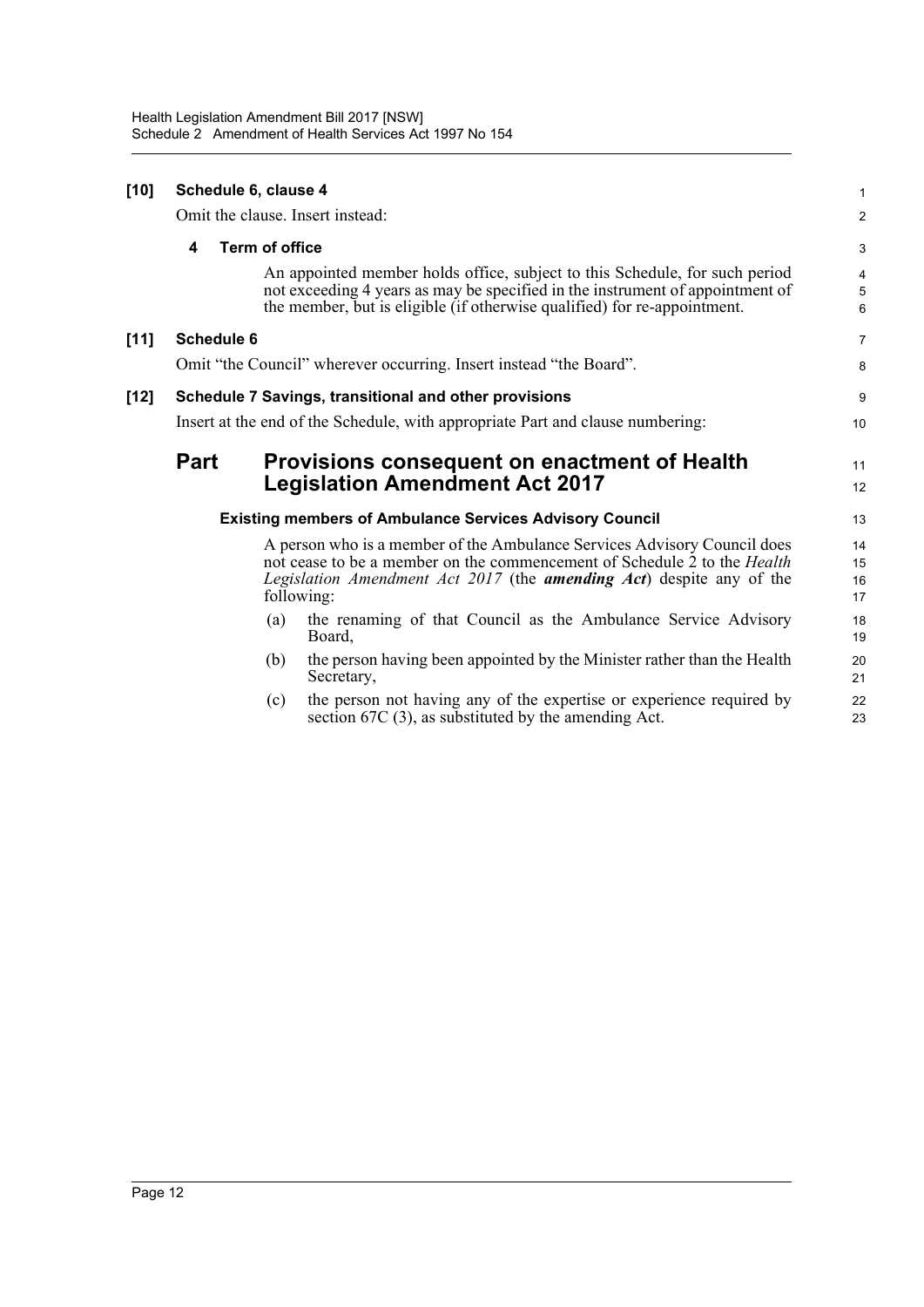| $[10]$ | Schedule 6, clause 4                                                           |                       |                                                                                                                                                                                                                                             |                      |  |  |
|--------|--------------------------------------------------------------------------------|-----------------------|---------------------------------------------------------------------------------------------------------------------------------------------------------------------------------------------------------------------------------------------|----------------------|--|--|
|        |                                                                                |                       | Omit the clause. Insert instead:                                                                                                                                                                                                            | $\overline{c}$       |  |  |
|        | 4                                                                              | <b>Term of office</b> |                                                                                                                                                                                                                                             | 3                    |  |  |
|        |                                                                                |                       | An appointed member holds office, subject to this Schedule, for such period<br>not exceeding 4 years as may be specified in the instrument of appointment of<br>the member, but is eligible (if otherwise qualified) for re-appointment.    | 4<br>5<br>6          |  |  |
| $[11]$ | <b>Schedule 6</b>                                                              |                       |                                                                                                                                                                                                                                             | 7                    |  |  |
|        | Omit "the Council" wherever occurring. Insert instead "the Board".             |                       |                                                                                                                                                                                                                                             |                      |  |  |
| [12]   | Schedule 7 Savings, transitional and other provisions                          |                       |                                                                                                                                                                                                                                             |                      |  |  |
|        | Insert at the end of the Schedule, with appropriate Part and clause numbering: |                       |                                                                                                                                                                                                                                             |                      |  |  |
|        | <b>Part</b>                                                                    |                       | Provisions consequent on enactment of Health<br><b>Legislation Amendment Act 2017</b>                                                                                                                                                       | 11<br>12             |  |  |
|        |                                                                                |                       | <b>Existing members of Ambulance Services Advisory Council</b>                                                                                                                                                                              | 13                   |  |  |
|        |                                                                                |                       | A person who is a member of the Ambulance Services Advisory Council does<br>not cease to be a member on the commencement of Schedule 2 to the <i>Health</i><br>Legislation Amendment Act 2017 (the <b>amending Act</b> ) despite any of the | 14<br>15<br>16<br>17 |  |  |
|        |                                                                                | following:            |                                                                                                                                                                                                                                             |                      |  |  |
|        |                                                                                | (a)                   | the renaming of that Council as the Ambulance Service Advisory<br>Board,                                                                                                                                                                    | 18<br>19             |  |  |
|        |                                                                                | (b)                   | the person having been appointed by the Minister rather than the Health<br>Secretary,                                                                                                                                                       | 20<br>21             |  |  |
|        |                                                                                | (c)                   | the person not having any of the expertise or experience required by<br>section $67C(3)$ , as substituted by the amending Act.                                                                                                              | 22<br>23             |  |  |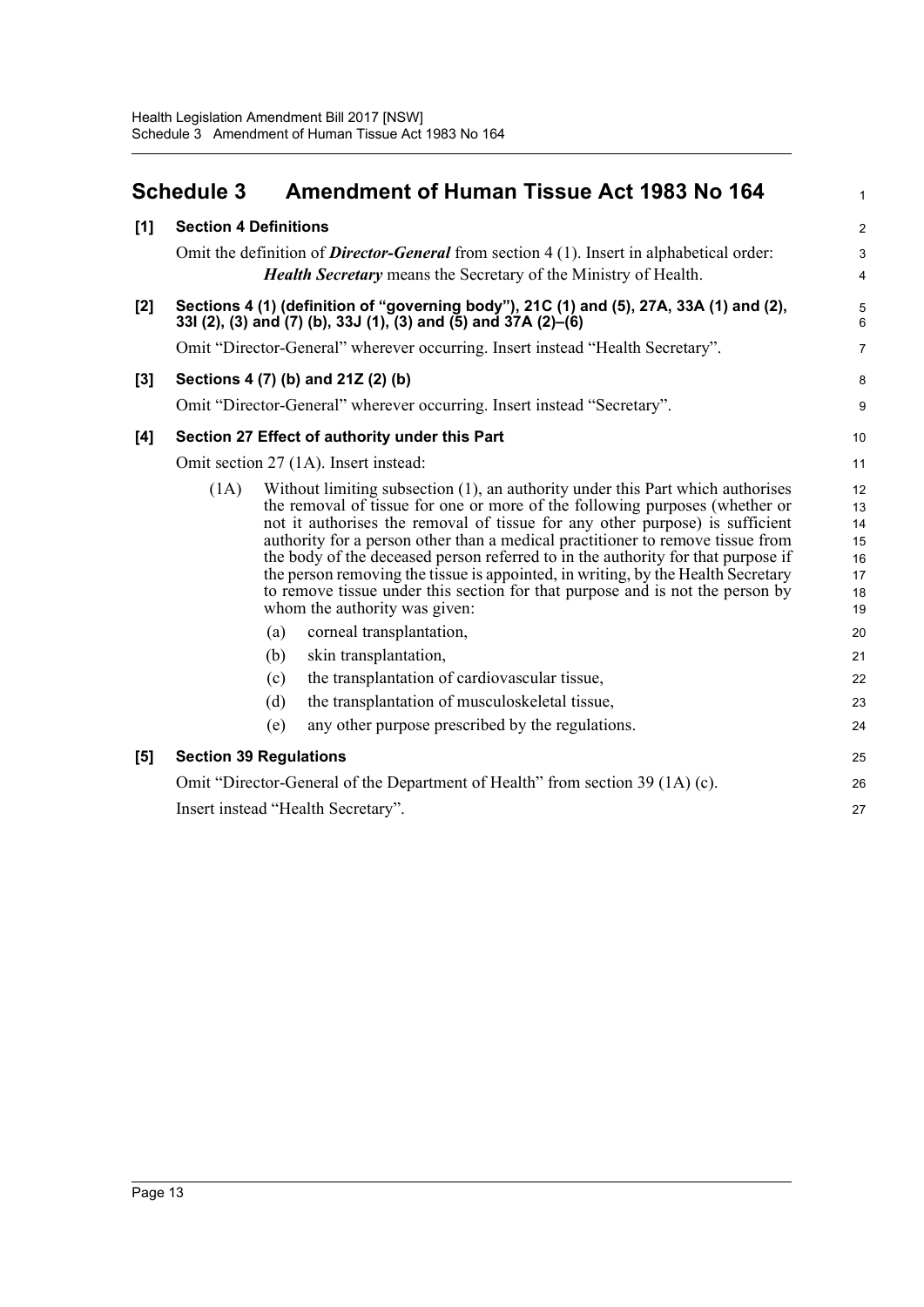<span id="page-18-0"></span>

|       | <b>Schedule 3</b>                              | <b>Amendment of Human Tissue Act 1983 No 164</b>                                                                                                                                                                                                                                                                                                                                                                                                                                                                                                                                                                                                                                                                                                                                                                                                                         | $\mathbf{1}$                                                               |  |  |
|-------|------------------------------------------------|--------------------------------------------------------------------------------------------------------------------------------------------------------------------------------------------------------------------------------------------------------------------------------------------------------------------------------------------------------------------------------------------------------------------------------------------------------------------------------------------------------------------------------------------------------------------------------------------------------------------------------------------------------------------------------------------------------------------------------------------------------------------------------------------------------------------------------------------------------------------------|----------------------------------------------------------------------------|--|--|
| [1]   | <b>Section 4 Definitions</b>                   |                                                                                                                                                                                                                                                                                                                                                                                                                                                                                                                                                                                                                                                                                                                                                                                                                                                                          | $\overline{2}$                                                             |  |  |
|       |                                                | Omit the definition of <b>Director-General</b> from section $4(1)$ . Insert in alphabetical order:<br><b>Health Secretary</b> means the Secretary of the Ministry of Health.                                                                                                                                                                                                                                                                                                                                                                                                                                                                                                                                                                                                                                                                                             | 3<br>$\overline{\mathbf{4}}$                                               |  |  |
| $[2]$ |                                                | Sections 4 (1) (definition of "governing body"), 21C (1) and (5), 27A, 33A (1) and (2),<br>33l (2), (3) and (7) (b), 33J (1), (3) and (5) and 37A (2)–(6)                                                                                                                                                                                                                                                                                                                                                                                                                                                                                                                                                                                                                                                                                                                | 5<br>$6\phantom{1}$                                                        |  |  |
|       |                                                | Omit "Director-General" wherever occurring. Insert instead "Health Secretary".                                                                                                                                                                                                                                                                                                                                                                                                                                                                                                                                                                                                                                                                                                                                                                                           | $\overline{7}$                                                             |  |  |
| [3]   |                                                | Sections 4 (7) (b) and 21Z (2) (b)                                                                                                                                                                                                                                                                                                                                                                                                                                                                                                                                                                                                                                                                                                                                                                                                                                       | 8                                                                          |  |  |
|       |                                                | Omit "Director-General" wherever occurring. Insert instead "Secretary".                                                                                                                                                                                                                                                                                                                                                                                                                                                                                                                                                                                                                                                                                                                                                                                                  | 9                                                                          |  |  |
| [4]   | Section 27 Effect of authority under this Part |                                                                                                                                                                                                                                                                                                                                                                                                                                                                                                                                                                                                                                                                                                                                                                                                                                                                          |                                                                            |  |  |
|       | Omit section 27 (1A). Insert instead:          |                                                                                                                                                                                                                                                                                                                                                                                                                                                                                                                                                                                                                                                                                                                                                                                                                                                                          |                                                                            |  |  |
|       | (1A)                                           | Without limiting subsection (1), an authority under this Part which authorises<br>the removal of tissue for one or more of the following purposes (whether or<br>not it authorises the removal of tissue for any other purpose) is sufficient<br>authority for a person other than a medical practitioner to remove tissue from<br>the body of the deceased person referred to in the authority for that purpose if<br>the person removing the tissue is appointed, in writing, by the Health Secretary<br>to remove tissue under this section for that purpose and is not the person by<br>whom the authority was given:<br>(a)<br>corneal transplantation,<br>(b)<br>skin transplantation,<br>the transplantation of cardiovascular tissue,<br>(c)<br>the transplantation of musculoskeletal tissue,<br>(d)<br>any other purpose prescribed by the regulations.<br>(e) | 12<br>13<br>14<br>15<br>16<br>17<br>18<br>19<br>20<br>21<br>22<br>23<br>24 |  |  |
| [5]   |                                                | <b>Section 39 Regulations</b>                                                                                                                                                                                                                                                                                                                                                                                                                                                                                                                                                                                                                                                                                                                                                                                                                                            | 25                                                                         |  |  |
|       |                                                | Omit "Director-General of the Department of Health" from section 39 (1A) (c).                                                                                                                                                                                                                                                                                                                                                                                                                                                                                                                                                                                                                                                                                                                                                                                            | 26                                                                         |  |  |
|       |                                                | Insert instead "Health Secretary".                                                                                                                                                                                                                                                                                                                                                                                                                                                                                                                                                                                                                                                                                                                                                                                                                                       | 27                                                                         |  |  |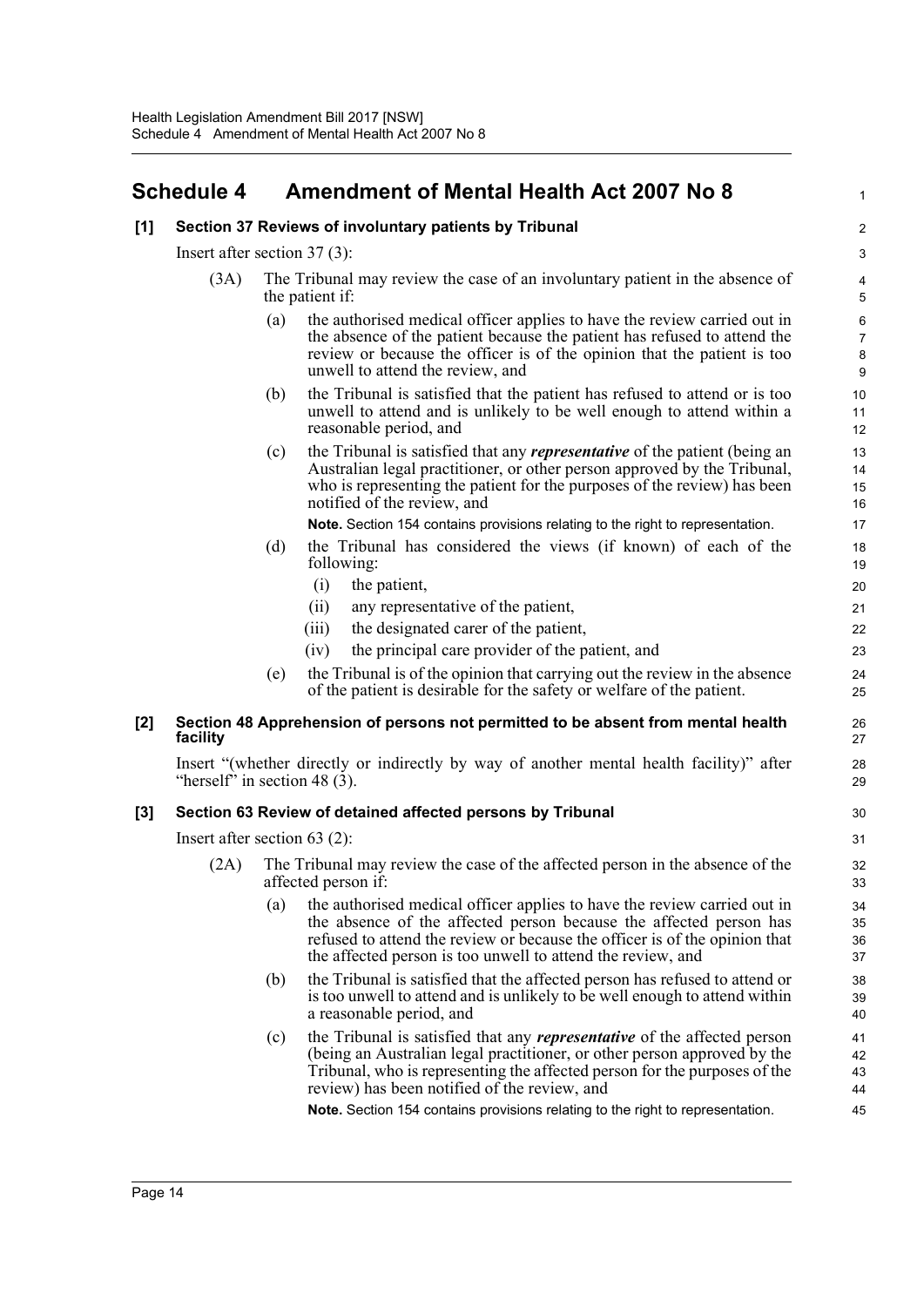# <span id="page-19-0"></span>**Schedule 4 Amendment of Mental Health Act 2007 No 8**

| [1] |                                 |     | Section 37 Reviews of involuntary patients by Tribunal                                                                                                                                                                                                                                          | 2                                         |
|-----|---------------------------------|-----|-------------------------------------------------------------------------------------------------------------------------------------------------------------------------------------------------------------------------------------------------------------------------------------------------|-------------------------------------------|
|     | Insert after section $37(3)$ :  |     |                                                                                                                                                                                                                                                                                                 | 3                                         |
|     | (3A)                            |     | The Tribunal may review the case of an involuntary patient in the absence of<br>the patient if:                                                                                                                                                                                                 | $\pmb{4}$<br>$\mathbf 5$                  |
|     |                                 | (a) | the authorised medical officer applies to have the review carried out in<br>the absence of the patient because the patient has refused to attend the<br>review or because the officer is of the opinion that the patient is too<br>unwell to attend the review, and                             | $\,6$<br>$\boldsymbol{7}$<br>$\bf 8$<br>9 |
|     |                                 | (b) | the Tribunal is satisfied that the patient has refused to attend or is too<br>unwell to attend and is unlikely to be well enough to attend within a<br>reasonable period, and                                                                                                                   | 10<br>11<br>12                            |
|     |                                 | (c) | the Tribunal is satisfied that any <i>representative</i> of the patient (being an<br>Australian legal practitioner, or other person approved by the Tribunal,<br>who is representing the patient for the purposes of the review) has been<br>notified of the review, and                        | 13<br>14<br>15<br>16                      |
|     |                                 |     | Note. Section 154 contains provisions relating to the right to representation.                                                                                                                                                                                                                  | 17                                        |
|     |                                 | (d) | the Tribunal has considered the views (if known) of each of the<br>following:                                                                                                                                                                                                                   | 18<br>19                                  |
|     |                                 |     | the patient,<br>(i)                                                                                                                                                                                                                                                                             | 20                                        |
|     |                                 |     | any representative of the patient,<br>(ii)                                                                                                                                                                                                                                                      | 21                                        |
|     |                                 |     | the designated carer of the patient,<br>(iii)                                                                                                                                                                                                                                                   | 22                                        |
|     |                                 |     | the principal care provider of the patient, and<br>(iv)                                                                                                                                                                                                                                         | 23                                        |
|     |                                 | (e) | the Tribunal is of the opinion that carrying out the review in the absence<br>of the patient is desirable for the safety or welfare of the patient.                                                                                                                                             | 24<br>25                                  |
| [2] | facility                        |     | Section 48 Apprehension of persons not permitted to be absent from mental health                                                                                                                                                                                                                | 26<br>27                                  |
|     | "herself" in section 48 $(3)$ . |     | Insert "(whether directly or indirectly by way of another mental health facility)" after                                                                                                                                                                                                        | 28<br>29                                  |
| [3] |                                 |     | Section 63 Review of detained affected persons by Tribunal                                                                                                                                                                                                                                      | 30                                        |
|     | Insert after section $63$ (2):  |     |                                                                                                                                                                                                                                                                                                 | 31                                        |
|     | (2A)                            |     | The Tribunal may review the case of the affected person in the absence of the<br>affected person if:                                                                                                                                                                                            | 32<br>33                                  |
|     |                                 |     | (a) the authorised medical officer applies to have the review carried out in<br>the absence of the affected person because the affected person has<br>refused to attend the review or because the officer is of the opinion that<br>the affected person is too unwell to attend the review, and | 34<br>35<br>36<br>37                      |
|     |                                 | (b) | the Tribunal is satisfied that the affected person has refused to attend or<br>is too unwell to attend and is unlikely to be well enough to attend within<br>a reasonable period, and                                                                                                           | 38<br>39<br>40                            |
|     |                                 | (c) | the Tribunal is satisfied that any <i>representative</i> of the affected person<br>(being an Australian legal practitioner, or other person approved by the<br>Tribunal, who is representing the affected person for the purposes of the<br>review) has been notified of the review, and        | 41<br>42<br>43<br>44                      |
|     |                                 |     | Note. Section 154 contains provisions relating to the right to representation.                                                                                                                                                                                                                  | 45                                        |
|     |                                 |     |                                                                                                                                                                                                                                                                                                 |                                           |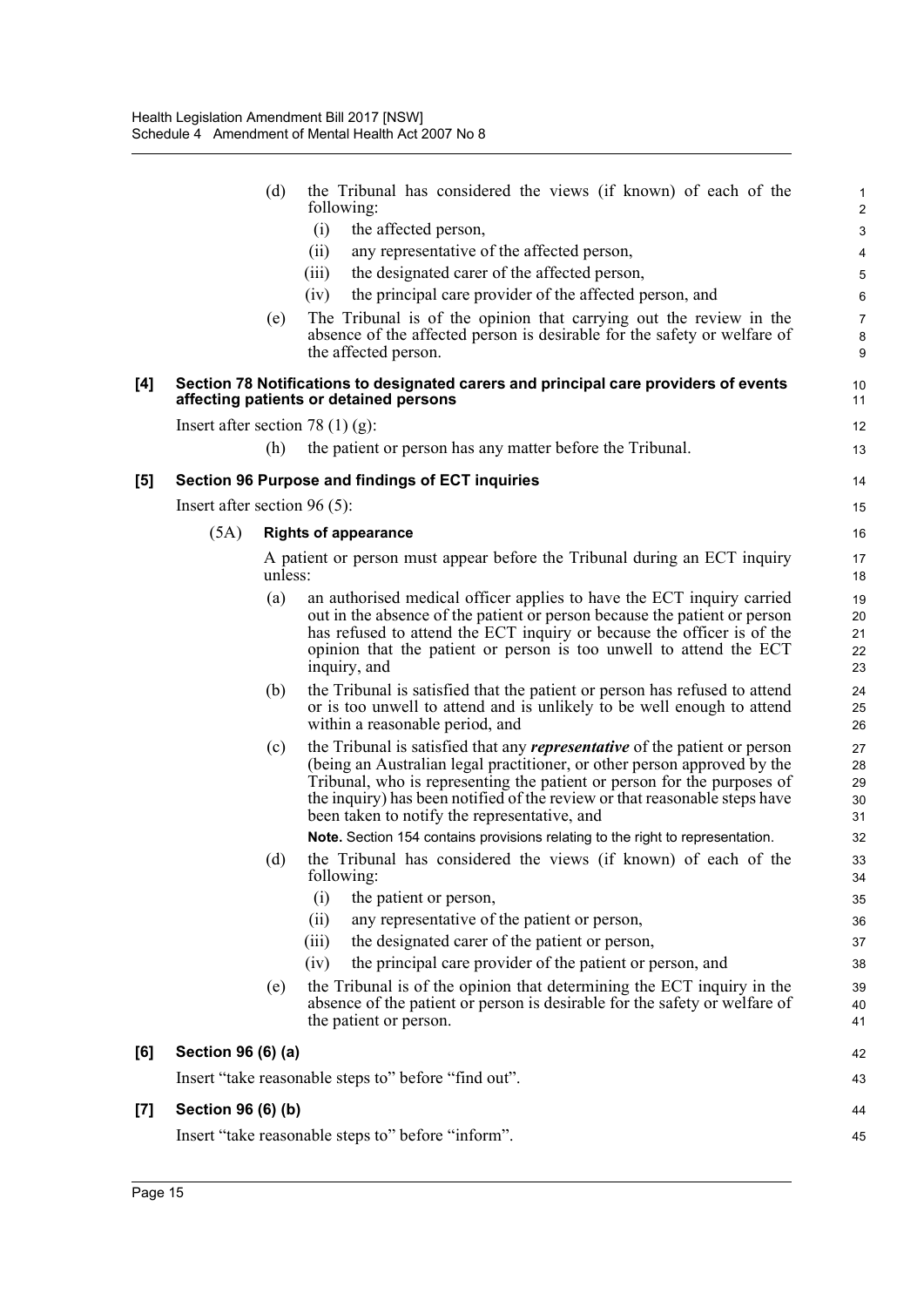|                     |                                | (d)     | the Tribunal has considered the views (if known) of each of the<br>following:                                                                                                                                                                                                                                                                                          | 1<br>$\sqrt{2}$            |
|---------------------|--------------------------------|---------|------------------------------------------------------------------------------------------------------------------------------------------------------------------------------------------------------------------------------------------------------------------------------------------------------------------------------------------------------------------------|----------------------------|
|                     |                                |         | (i)<br>the affected person,                                                                                                                                                                                                                                                                                                                                            | 3                          |
|                     |                                |         | any representative of the affected person,<br>(ii)                                                                                                                                                                                                                                                                                                                     | 4                          |
|                     |                                |         | the designated carer of the affected person,<br>(iii)                                                                                                                                                                                                                                                                                                                  | 5                          |
|                     |                                |         | (iv)<br>the principal care provider of the affected person, and                                                                                                                                                                                                                                                                                                        | 6                          |
|                     |                                | (e)     | The Tribunal is of the opinion that carrying out the review in the                                                                                                                                                                                                                                                                                                     | $\overline{7}$             |
|                     |                                |         | absence of the affected person is desirable for the safety or welfare of<br>the affected person.                                                                                                                                                                                                                                                                       | 8<br>9                     |
|                     |                                |         |                                                                                                                                                                                                                                                                                                                                                                        |                            |
| [4]                 |                                |         | Section 78 Notifications to designated carers and principal care providers of events<br>affecting patients or detained persons                                                                                                                                                                                                                                         | 10<br>11                   |
|                     |                                |         | Insert after section 78 $(1)$ (g):                                                                                                                                                                                                                                                                                                                                     | 12                         |
|                     |                                | (h)     | the patient or person has any matter before the Tribunal.                                                                                                                                                                                                                                                                                                              | 13                         |
| [5]                 |                                |         | Section 96 Purpose and findings of ECT inquiries                                                                                                                                                                                                                                                                                                                       | 14                         |
|                     | Insert after section $96(5)$ : |         |                                                                                                                                                                                                                                                                                                                                                                        | 15                         |
|                     | (5A)                           |         | <b>Rights of appearance</b>                                                                                                                                                                                                                                                                                                                                            | 16                         |
|                     |                                | unless: | A patient or person must appear before the Tribunal during an ECT inquiry                                                                                                                                                                                                                                                                                              | 17<br>18                   |
|                     |                                | (a)     | an authorised medical officer applies to have the ECT inquiry carried<br>out in the absence of the patient or person because the patient or person<br>has refused to attend the ECT inquiry or because the officer is of the<br>opinion that the patient or person is too unwell to attend the ECT<br>inquiry, and                                                     | 19<br>20<br>21<br>22<br>23 |
|                     |                                | (b)     | the Tribunal is satisfied that the patient or person has refused to attend<br>or is too unwell to attend and is unlikely to be well enough to attend<br>within a reasonable period, and                                                                                                                                                                                | 24<br>25<br>26             |
|                     |                                | (c)     | the Tribunal is satisfied that any <i>representative</i> of the patient or person<br>(being an Australian legal practitioner, or other person approved by the<br>Tribunal, who is representing the patient or person for the purposes of<br>the inquiry) has been notified of the review or that reasonable steps have<br>been taken to notify the representative, and | 27<br>28<br>29<br>30<br>31 |
|                     |                                |         | Note. Section 154 contains provisions relating to the right to representation.                                                                                                                                                                                                                                                                                         | 32                         |
|                     |                                | (d)     | the Tribunal has considered the views (if known) of each of the<br>following:                                                                                                                                                                                                                                                                                          | 33<br>34                   |
|                     |                                |         | (i)<br>the patient or person,                                                                                                                                                                                                                                                                                                                                          | 35                         |
|                     |                                |         | any representative of the patient or person,<br>(ii)                                                                                                                                                                                                                                                                                                                   | 36                         |
|                     |                                |         | the designated carer of the patient or person,<br>(iii)                                                                                                                                                                                                                                                                                                                | 37                         |
|                     |                                |         | the principal care provider of the patient or person, and<br>(iv)                                                                                                                                                                                                                                                                                                      | 38                         |
|                     |                                | (e)     | the Tribunal is of the opinion that determining the ECT inquiry in the<br>absence of the patient or person is desirable for the safety or welfare of<br>the patient or person.                                                                                                                                                                                         | 39<br>40<br>41             |
| [6]                 | Section 96 (6) (a)             |         |                                                                                                                                                                                                                                                                                                                                                                        | 42                         |
|                     |                                |         | Insert "take reasonable steps to" before "find out".                                                                                                                                                                                                                                                                                                                   | 43                         |
| $\lbrack 7 \rbrack$ | Section 96 (6) (b)             |         |                                                                                                                                                                                                                                                                                                                                                                        | 44                         |
|                     |                                |         | Insert "take reasonable steps to" before "inform".                                                                                                                                                                                                                                                                                                                     | 45                         |
|                     |                                |         |                                                                                                                                                                                                                                                                                                                                                                        |                            |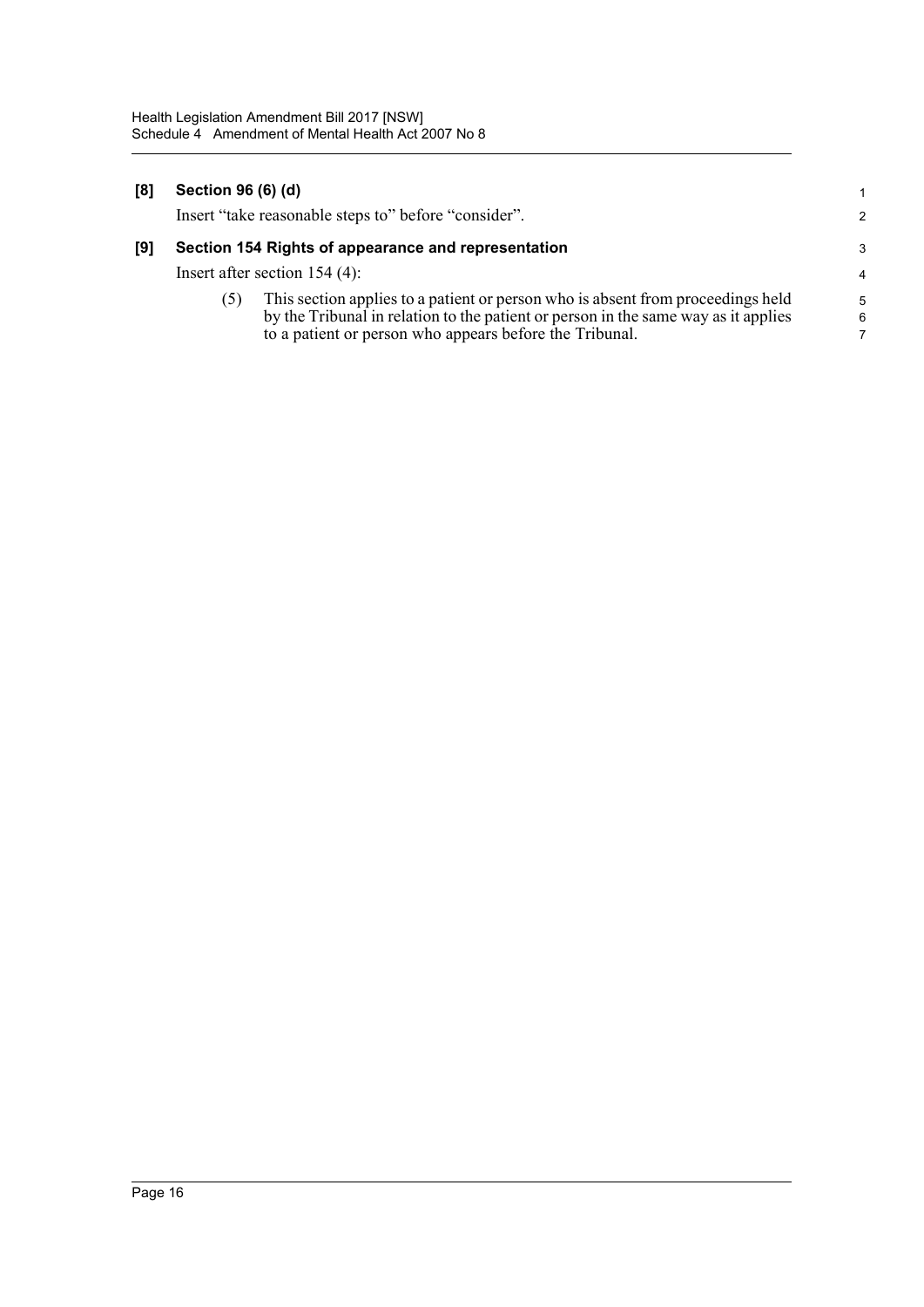| [8] | Section 96 (6) (d)              |                                                                                    |                |
|-----|---------------------------------|------------------------------------------------------------------------------------|----------------|
|     |                                 | Insert "take reasonable steps to" before "consider".                               | $\mathcal{P}$  |
| [9] |                                 | Section 154 Rights of appearance and representation                                | 3              |
|     | Insert after section $154(4)$ : |                                                                                    | $\overline{4}$ |
|     | (5)                             | This section applies to a patient or person who is absent from proceedings held    | $5^{\circ}$    |
|     |                                 | by the Tribunal in relation to the patient or person in the same way as it applies | 6              |

7

to a patient or person who appears before the Tribunal.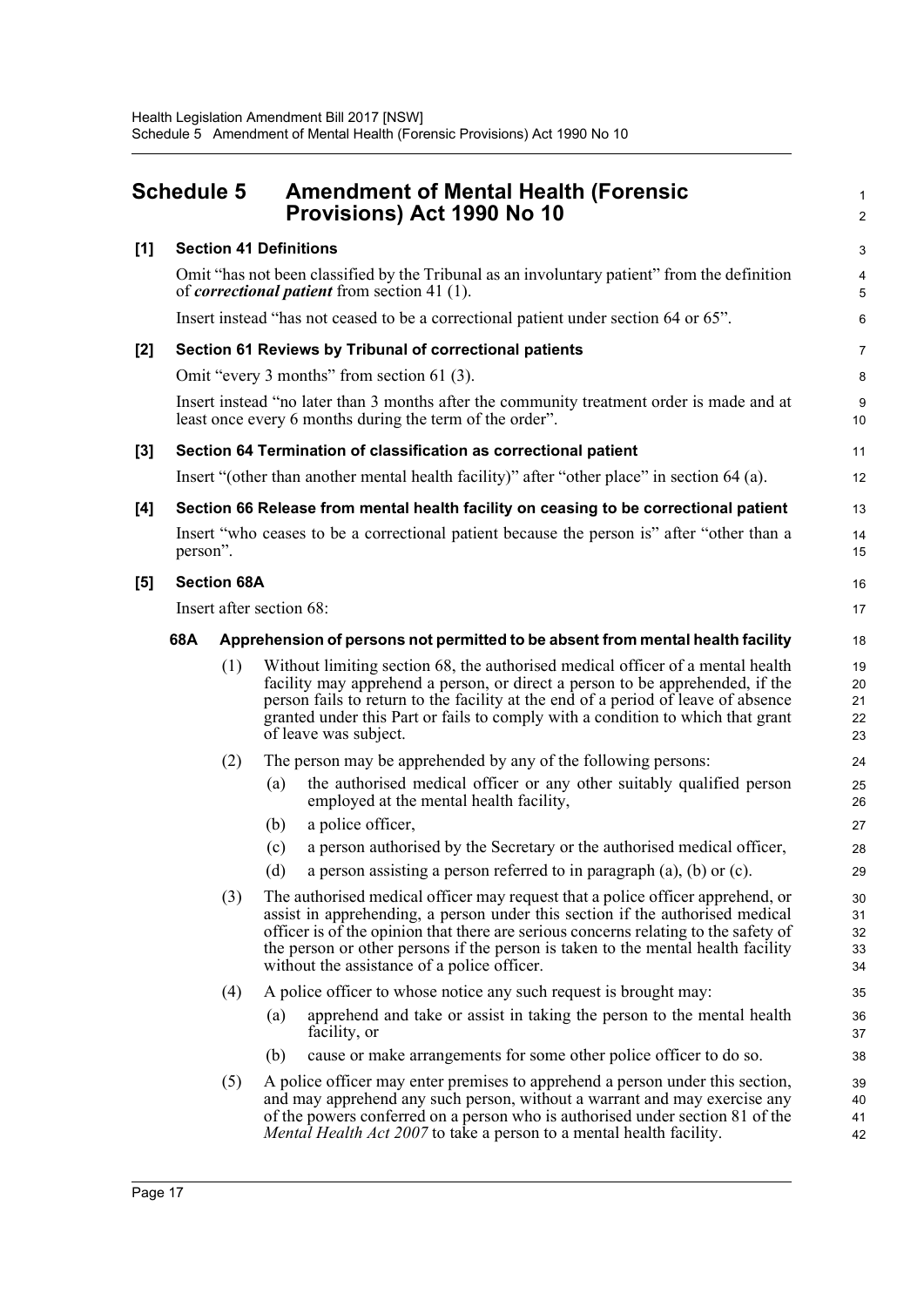<span id="page-22-0"></span>

| <b>Schedule 5</b> |                                                                                                                                                       |                                                                                      | <b>Amendment of Mental Health (Forensic</b><br>Provisions) Act 1990 No 10                                                                                                                                                                                                                                                                                                                 | $\mathbf{1}$<br>$\overline{2}$ |  |
|-------------------|-------------------------------------------------------------------------------------------------------------------------------------------------------|--------------------------------------------------------------------------------------|-------------------------------------------------------------------------------------------------------------------------------------------------------------------------------------------------------------------------------------------------------------------------------------------------------------------------------------------------------------------------------------------|--------------------------------|--|
| [1]               |                                                                                                                                                       |                                                                                      | <b>Section 41 Definitions</b>                                                                                                                                                                                                                                                                                                                                                             | 3                              |  |
|                   |                                                                                                                                                       |                                                                                      | Omit "has not been classified by the Tribunal as an involuntary patient" from the definition<br>of <i>correctional patient</i> from section 41 (1).                                                                                                                                                                                                                                       | $\overline{\mathbf{4}}$<br>5   |  |
|                   |                                                                                                                                                       | Insert instead "has not ceased to be a correctional patient under section 64 or 65". |                                                                                                                                                                                                                                                                                                                                                                                           |                                |  |
| [2]               | Section 61 Reviews by Tribunal of correctional patients                                                                                               |                                                                                      |                                                                                                                                                                                                                                                                                                                                                                                           |                                |  |
|                   | Omit "every 3 months" from section 61 (3).                                                                                                            |                                                                                      |                                                                                                                                                                                                                                                                                                                                                                                           |                                |  |
|                   | Insert instead "no later than 3 months after the community treatment order is made and at<br>least once every 6 months during the term of the order". |                                                                                      |                                                                                                                                                                                                                                                                                                                                                                                           |                                |  |
| [3]               |                                                                                                                                                       |                                                                                      | Section 64 Termination of classification as correctional patient                                                                                                                                                                                                                                                                                                                          | 11                             |  |
|                   |                                                                                                                                                       |                                                                                      | Insert "(other than another mental health facility)" after "other place" in section 64 (a).                                                                                                                                                                                                                                                                                               | 12                             |  |
| [4]               |                                                                                                                                                       |                                                                                      | Section 66 Release from mental health facility on ceasing to be correctional patient                                                                                                                                                                                                                                                                                                      | 13                             |  |
|                   | Insert "who ceases to be a correctional patient because the person is" after "other than a<br>person".                                                |                                                                                      |                                                                                                                                                                                                                                                                                                                                                                                           |                                |  |
| [5]               | <b>Section 68A</b>                                                                                                                                    |                                                                                      |                                                                                                                                                                                                                                                                                                                                                                                           | 16                             |  |
|                   | Insert after section 68:                                                                                                                              |                                                                                      |                                                                                                                                                                                                                                                                                                                                                                                           |                                |  |
|                   | 68A<br>Apprehension of persons not permitted to be absent from mental health facility                                                                 |                                                                                      | 18                                                                                                                                                                                                                                                                                                                                                                                        |                                |  |
|                   |                                                                                                                                                       | (1)                                                                                  | Without limiting section 68, the authorised medical officer of a mental health<br>facility may apprehend a person, or direct a person to be apprehended, if the<br>person fails to return to the facility at the end of a period of leave of absence<br>granted under this Part or fails to comply with a condition to which that grant<br>of leave was subject.                          | 19<br>20<br>21<br>22<br>23     |  |
|                   |                                                                                                                                                       | (2)                                                                                  | The person may be apprehended by any of the following persons:                                                                                                                                                                                                                                                                                                                            | 24                             |  |
|                   |                                                                                                                                                       |                                                                                      | the authorised medical officer or any other suitably qualified person<br>(a)<br>employed at the mental health facility,                                                                                                                                                                                                                                                                   | 25<br>26                       |  |
|                   |                                                                                                                                                       |                                                                                      | a police officer,<br>(b)                                                                                                                                                                                                                                                                                                                                                                  | 27                             |  |
|                   |                                                                                                                                                       |                                                                                      | a person authorised by the Secretary or the authorised medical officer,<br>(c)                                                                                                                                                                                                                                                                                                            | 28                             |  |
|                   |                                                                                                                                                       |                                                                                      | a person assisting a person referred to in paragraph $(a)$ , $(b)$ or $(c)$ .<br>(d)                                                                                                                                                                                                                                                                                                      | 29                             |  |
|                   |                                                                                                                                                       | (3)                                                                                  | The authorised medical officer may request that a police officer apprehend, or<br>assist in apprehending, a person under this section if the authorised medical<br>officer is of the opinion that there are serious concerns relating to the safety of<br>the person or other persons if the person is taken to the mental health facility<br>without the assistance of a police officer. | 30<br>31<br>32<br>33<br>34     |  |
|                   |                                                                                                                                                       | (4)                                                                                  | A police officer to whose notice any such request is brought may:                                                                                                                                                                                                                                                                                                                         | 35                             |  |
|                   |                                                                                                                                                       |                                                                                      | apprehend and take or assist in taking the person to the mental health<br>(a)<br>facility, or                                                                                                                                                                                                                                                                                             | 36<br>37                       |  |
|                   |                                                                                                                                                       |                                                                                      | cause or make arrangements for some other police officer to do so.<br>(b)                                                                                                                                                                                                                                                                                                                 | 38                             |  |
|                   |                                                                                                                                                       | (5)                                                                                  | A police officer may enter premises to apprehend a person under this section,<br>and may apprehend any such person, without a warrant and may exercise any<br>of the powers conferred on a person who is authorised under section 81 of the<br>Mental Health Act 2007 to take a person to a mental health facility.                                                                       | 39<br>40<br>41<br>42           |  |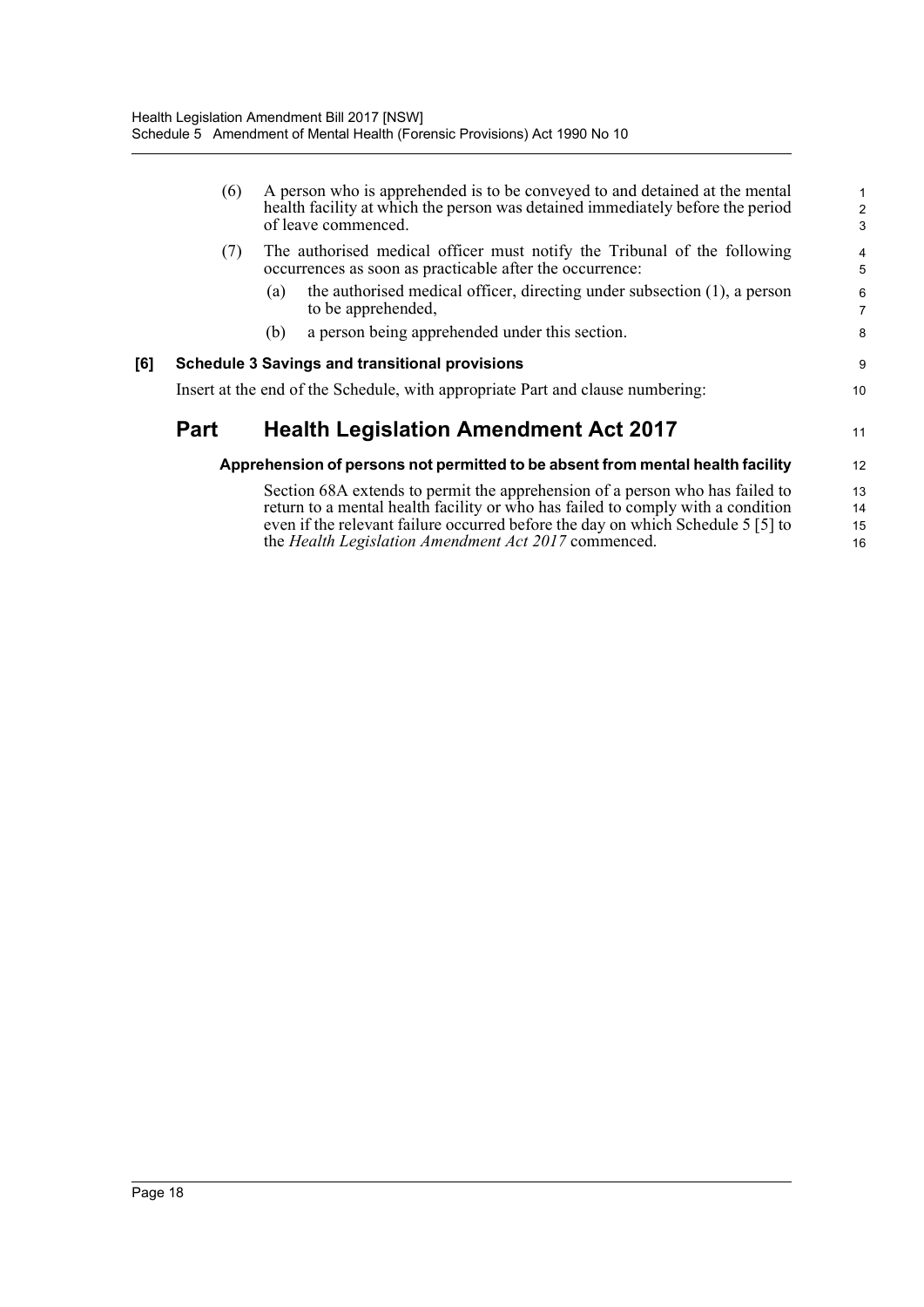|     | (6)         | A person who is apprehended is to be conveyed to and detained at the mental<br>health facility at which the person was detained immediately before the period<br>of leave commenced.                                                               | $\overline{c}$<br>3 |
|-----|-------------|----------------------------------------------------------------------------------------------------------------------------------------------------------------------------------------------------------------------------------------------------|---------------------|
|     | (7)         | The authorised medical officer must notify the Tribunal of the following<br>occurrences as soon as practicable after the occurrence:                                                                                                               | 4<br>5              |
|     |             | the authorised medical officer, directing under subsection (1), a person<br>(a)<br>to be apprehended,                                                                                                                                              | 6<br>$\overline{7}$ |
|     |             | a person being apprehended under this section.<br>(b)                                                                                                                                                                                              | 8                   |
| [6] |             | <b>Schedule 3 Savings and transitional provisions</b>                                                                                                                                                                                              | 9                   |
|     |             | Insert at the end of the Schedule, with appropriate Part and clause numbering:                                                                                                                                                                     | 10                  |
|     | <b>Part</b> | <b>Health Legislation Amendment Act 2017</b>                                                                                                                                                                                                       | 11                  |
|     |             | Apprehension of persons not permitted to be absent from mental health facility                                                                                                                                                                     | 12                  |
|     |             | Section 68A extends to permit the apprehension of a person who has failed to<br>return to a mental health facility or who has failed to comply with a condition<br>even if the relevant failure occurred before the day on which Schedule 5 [5] to | 13<br>14<br>15      |
|     |             | the Health Legislation Amendment Act 2017 commenced.                                                                                                                                                                                               | 16                  |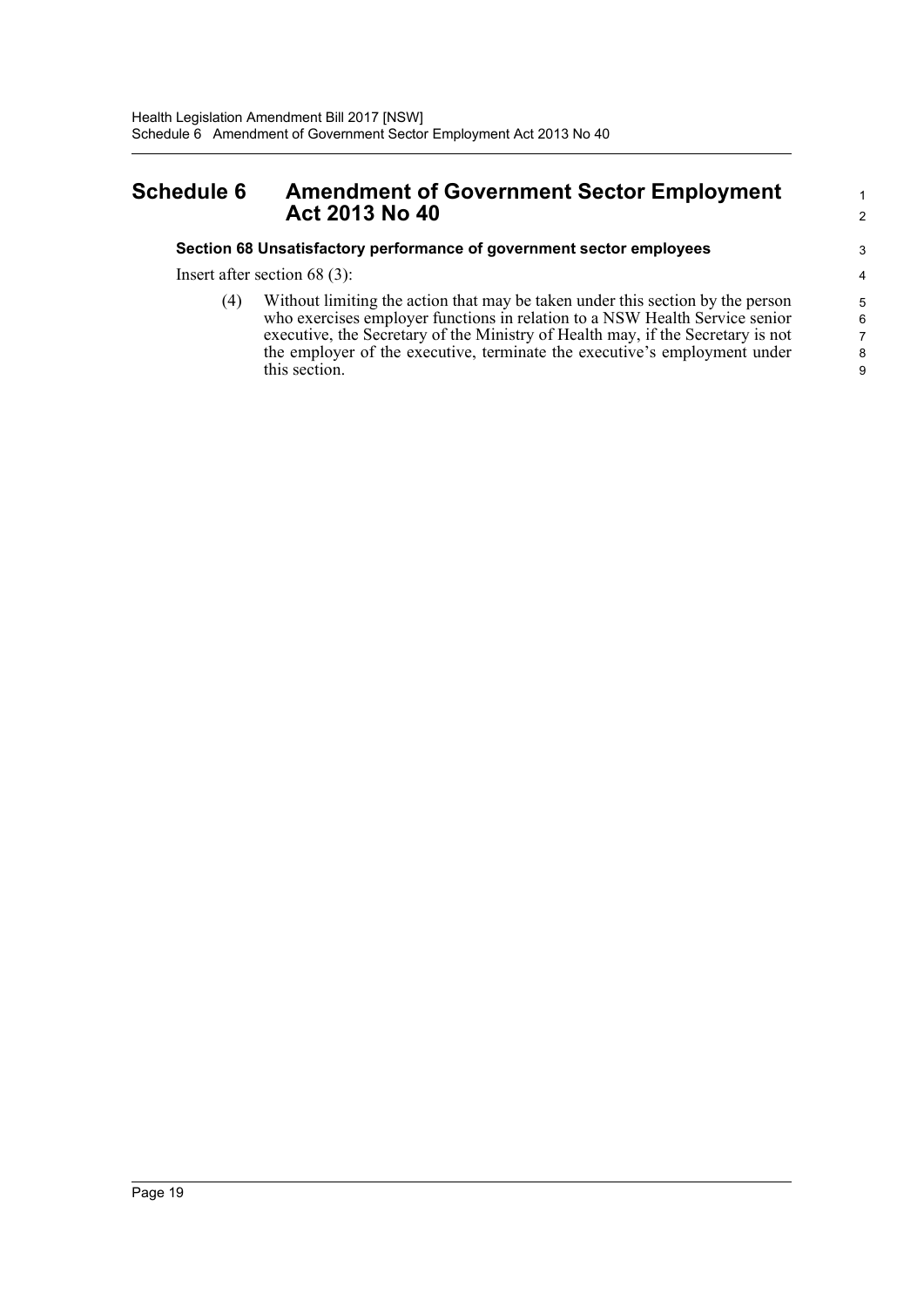# <span id="page-24-0"></span>**Schedule 6 Amendment of Government Sector Employment Act 2013 No 40**

## **Section 68 Unsatisfactory performance of government sector employees**

Insert after section 68 (3):

(4) Without limiting the action that may be taken under this section by the person who exercises employer functions in relation to a NSW Health Service senior executive, the Secretary of the Ministry of Health may, if the Secretary is not the employer of the executive, terminate the executive's employment under this section.

1 2